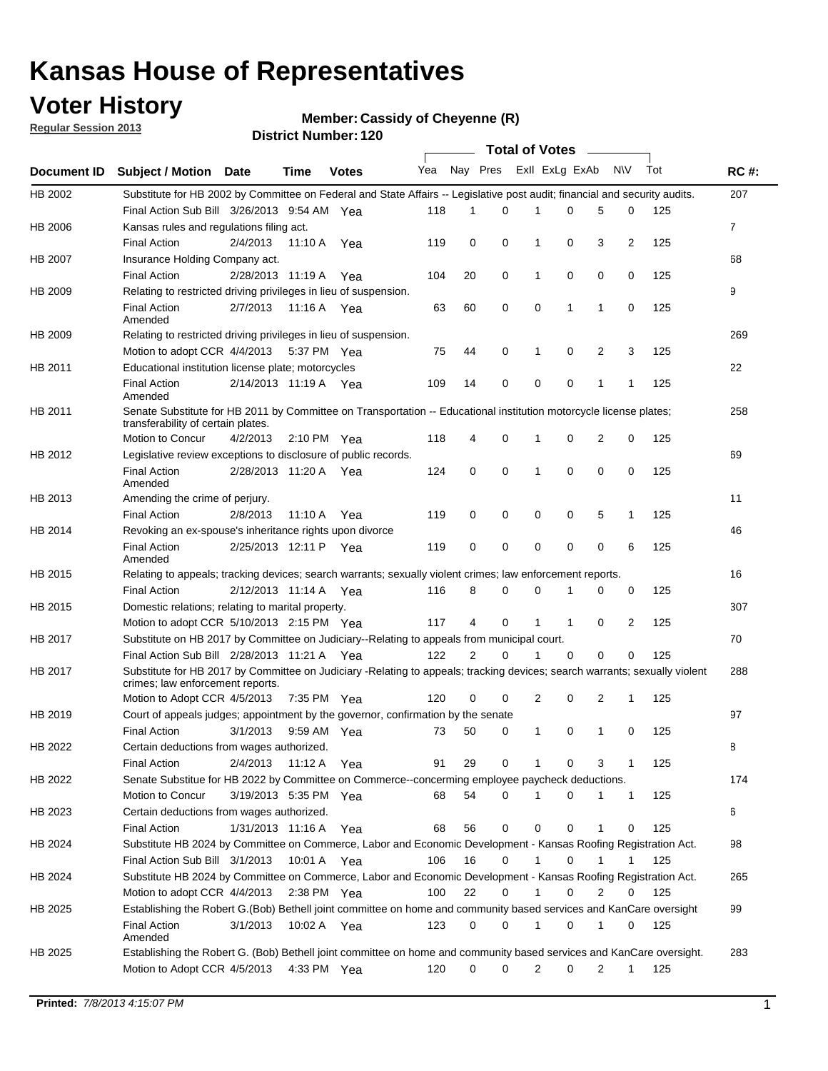### **Voter History**

**Member: Cassidy of Cheyenne (R)** 

**Regular Session 2013**

|             |                                                                                                                                                                |                       |         |                       |     |                | <b>Total of Votes</b> |                |          | $\sim$       |              |     |             |
|-------------|----------------------------------------------------------------------------------------------------------------------------------------------------------------|-----------------------|---------|-----------------------|-----|----------------|-----------------------|----------------|----------|--------------|--------------|-----|-------------|
| Document ID | Subject / Motion Date                                                                                                                                          |                       | Time    | <b>Votes</b>          | Yea | Nay Pres       |                       | Exll ExLg ExAb |          |              | <b>NV</b>    | Tot | <b>RC#:</b> |
| HB 2002     | Substitute for HB 2002 by Committee on Federal and State Affairs -- Legislative post audit; financial and security audits.                                     |                       |         |                       |     |                |                       |                |          |              |              |     | 207         |
|             | Final Action Sub Bill 3/26/2013 9:54 AM Yea                                                                                                                    |                       |         |                       | 118 | 1              | 0                     | 1              | 0        | 5            | 0            | 125 |             |
| HB 2006     | Kansas rules and regulations filing act.                                                                                                                       |                       |         |                       |     |                |                       |                |          |              |              |     | 7           |
|             | <b>Final Action</b>                                                                                                                                            | 2/4/2013              | 11:10 A | Yea                   | 119 | 0              | 0                     | 1              | 0        | 3            | 2            | 125 |             |
| HB 2007     | Insurance Holding Company act.                                                                                                                                 |                       |         |                       |     |                |                       |                |          |              |              |     | 68          |
|             | <b>Final Action</b>                                                                                                                                            | 2/28/2013 11:19 A     |         | Yea                   | 104 | 20             | 0                     | 1              | 0        | 0            | 0            | 125 |             |
| HB 2009     | Relating to restricted driving privileges in lieu of suspension.                                                                                               |                       |         |                       |     |                |                       |                |          |              |              |     | 9           |
|             | <b>Final Action</b><br>Amended                                                                                                                                 | 2/7/2013              |         | 11:16 A Yea           | 63  | 60             | 0                     | 0              | 1        | $\mathbf{1}$ | 0            | 125 |             |
| HB 2009     | Relating to restricted driving privileges in lieu of suspension.                                                                                               |                       |         |                       |     |                |                       |                |          |              |              |     | 269         |
|             | Motion to adopt CCR 4/4/2013                                                                                                                                   |                       |         | 5:37 PM Yea           | 75  | 44             | 0                     | 1              | 0        | 2            | 3            | 125 |             |
| HB 2011     | Educational institution license plate; motorcycles                                                                                                             |                       |         |                       |     |                |                       |                |          |              |              |     | 22          |
|             | <b>Final Action</b><br>Amended                                                                                                                                 | 2/14/2013 11:19 A Yea |         |                       | 109 | 14             | 0                     | 0              | 0        | 1            | $\mathbf{1}$ | 125 |             |
| HB 2011     | Senate Substitute for HB 2011 by Committee on Transportation -- Educational institution motorcycle license plates;                                             |                       |         |                       |     |                |                       |                |          |              |              |     | 258         |
|             | transferability of certain plates.                                                                                                                             |                       |         |                       |     |                |                       |                |          |              |              |     |             |
|             | Motion to Concur                                                                                                                                               | 4/2/2013              |         | $2:10 \text{ PM}$ Yea | 118 | 4              | 0                     |                | 0        | 2            | 0            | 125 |             |
| HB 2012     | Legislative review exceptions to disclosure of public records.                                                                                                 |                       |         |                       |     |                |                       |                |          |              |              |     | 69          |
|             | <b>Final Action</b><br>Amended                                                                                                                                 | 2/28/2013 11:20 A     |         | Yea                   | 124 | 0              | $\mathbf 0$           | 1              | 0        | 0            | 0            | 125 |             |
| HB 2013     | Amending the crime of perjury.                                                                                                                                 |                       |         |                       |     |                |                       |                |          |              |              |     | 11          |
|             | <b>Final Action</b>                                                                                                                                            | 2/8/2013              | 11:10 A | Yea                   | 119 | 0              | 0                     | 0              | 0        | 5            | 1            | 125 |             |
| HB 2014     | Revoking an ex-spouse's inheritance rights upon divorce                                                                                                        |                       |         |                       |     |                |                       |                |          |              |              |     | 46          |
|             | <b>Final Action</b><br>Amended                                                                                                                                 | 2/25/2013 12:11 P     |         | Yea                   | 119 | 0              | 0                     | 0              | 0        | 0            | 6            | 125 |             |
| HB 2015     | Relating to appeals; tracking devices; search warrants; sexually violent crimes; law enforcement reports.                                                      |                       |         |                       |     |                |                       |                |          |              |              |     | 16          |
|             | <b>Final Action</b>                                                                                                                                            | 2/12/2013 11:14 A Yea |         |                       | 116 | 8              | 0                     | 0              | 1        | 0            | 0            | 125 |             |
| HB 2015     | Domestic relations; relating to marital property.                                                                                                              |                       |         |                       |     |                |                       |                |          |              |              |     | 307         |
|             | Motion to adopt CCR 5/10/2013 2:15 PM Yea                                                                                                                      |                       |         |                       | 117 | 4              | 0                     |                | 1        | 0            | 2            | 125 |             |
| HB 2017     | Substitute on HB 2017 by Committee on Judiciary--Relating to appeals from municipal court.                                                                     |                       |         |                       |     |                |                       |                |          |              |              |     | 70          |
|             | Final Action Sub Bill 2/28/2013 11:21 A Yea                                                                                                                    |                       |         |                       | 122 | $\overline{2}$ | $\Omega$              |                | $\Omega$ | 0            | 0            | 125 |             |
| HB 2017     | Substitute for HB 2017 by Committee on Judiciary -Relating to appeals; tracking devices; search warrants; sexually violent<br>crimes; law enforcement reports. |                       |         |                       |     |                |                       |                |          |              |              |     | 288         |
|             | Motion to Adopt CCR 4/5/2013                                                                                                                                   |                       |         | 7:35 PM Yea           | 120 | 0              | 0                     | 2              | 0        | 2            | 1            | 125 |             |
| HB 2019     | Court of appeals judges; appointment by the governor, confirmation by the senate                                                                               |                       |         |                       |     |                |                       |                |          |              |              |     | 97          |
|             | <b>Final Action</b>                                                                                                                                            | 3/1/2013              |         | 9:59 AM Yea           | 73  | 50             | 0                     | 1              | 0        | 1            | 0            | 125 |             |
| HB 2022     | Certain deductions from wages authorized.                                                                                                                      |                       |         |                       |     |                |                       |                |          |              |              |     | В           |
|             | <b>Final Action</b>                                                                                                                                            | 2/4/2013              |         | 11:12 A Yea           | 91  | 29             | 0                     |                | 0        | 3            | 1            | 125 |             |
| HB 2022     | Senate Substitue for HB 2022 by Committee on Commerce--concerming employee paycheck deductions.                                                                |                       |         |                       |     |                |                       |                |          |              |              |     | 174         |
|             | Motion to Concur                                                                                                                                               | 3/19/2013 5:35 PM Yea |         |                       | 68  | 54             | 0                     |                | 0        | 1            | $\mathbf{1}$ | 125 |             |
| HB 2023     | Certain deductions from wages authorized.                                                                                                                      |                       |         |                       |     |                |                       |                |          |              |              |     | 6           |
|             | <b>Final Action</b>                                                                                                                                            | 1/31/2013 11:16 A Yea |         |                       | 68  | 56             | 0                     | 0              | 0        | 1            | 0            | 125 |             |
| HB 2024     | Substitute HB 2024 by Committee on Commerce, Labor and Economic Development - Kansas Roofing Registration Act.                                                 |                       |         |                       |     |                |                       |                |          |              |              |     | 98          |
|             | Final Action Sub Bill 3/1/2013                                                                                                                                 |                       |         | 10:01 A Yea           | 106 | 16             | 0                     |                | 0        | 1            |              | 125 |             |
| HB 2024     | Substitute HB 2024 by Committee on Commerce, Labor and Economic Development - Kansas Roofing Registration Act.                                                 |                       |         |                       |     |                |                       |                |          |              |              |     | 265         |
|             | Motion to adopt CCR 4/4/2013                                                                                                                                   |                       |         | 2:38 PM Yea           | 100 | 22             | 0                     |                | 0        | 2            | 0            | 125 |             |
| HB 2025     | Establishing the Robert G.(Bob) Bethell joint committee on home and community based services and KanCare oversight                                             |                       |         |                       |     |                |                       |                |          |              |              |     | 99          |
|             | <b>Final Action</b><br>Amended                                                                                                                                 | 3/1/2013              |         | 10:02 A Yea           | 123 | 0              | 0                     |                | 0        | 1            | 0            | 125 |             |
| HB 2025     | Establishing the Robert G. (Bob) Bethell joint committee on home and community based services and KanCare oversight.                                           |                       |         |                       |     |                |                       |                |          |              |              |     | 283         |
|             | Motion to Adopt CCR 4/5/2013                                                                                                                                   |                       |         | 4:33 PM Yea           | 120 | 0              | 0                     | 2              | 0        | 2            | 1            | 125 |             |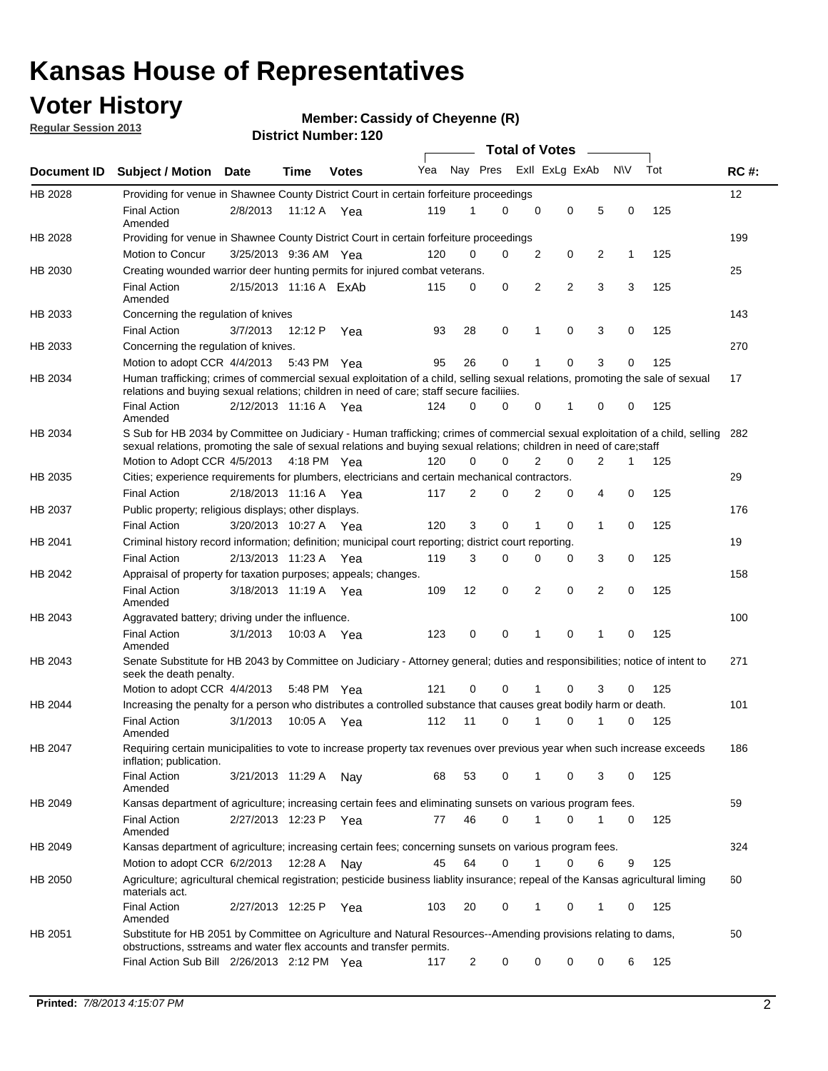### **Voter History**

**Regular Session 2013**

#### **Member: Cassidy of Cheyenne (R)**

|                    |                                                                                                                                                                                                                                                        |                        |             | וסוווטנוזאווואסו. ובט |                             |                | <b>Total of Votes</b> |                |                | $\sim$         |             |     |             |
|--------------------|--------------------------------------------------------------------------------------------------------------------------------------------------------------------------------------------------------------------------------------------------------|------------------------|-------------|-----------------------|-----------------------------|----------------|-----------------------|----------------|----------------|----------------|-------------|-----|-------------|
| <b>Document ID</b> | <b>Subject / Motion</b>                                                                                                                                                                                                                                | Date                   | Time        | <b>Votes</b>          | Yea Nay Pres ExII ExLg ExAb |                |                       |                |                |                | <b>NV</b>   | Tot | <b>RC#:</b> |
| HB 2028            | Providing for venue in Shawnee County District Court in certain forfeiture proceedings                                                                                                                                                                 |                        |             |                       |                             |                |                       |                |                |                |             |     | 12          |
|                    | <b>Final Action</b><br>Amended                                                                                                                                                                                                                         | 2/8/2013               | 11:12 A Yea |                       | 119                         | 1              | 0                     | $\mathbf 0$    | $\mathbf 0$    | 5              | 0           | 125 |             |
| HB 2028            | Providing for venue in Shawnee County District Court in certain forfeiture proceedings                                                                                                                                                                 |                        |             |                       |                             |                |                       |                |                |                |             |     | 199         |
|                    | Motion to Concur                                                                                                                                                                                                                                       | 3/25/2013 9:36 AM Yea  |             |                       | 120                         | 0              | 0                     | $\overline{2}$ | 0              | 2              | 1           | 125 |             |
| HB 2030            | Creating wounded warrior deer hunting permits for injured combat veterans.                                                                                                                                                                             |                        |             |                       |                             |                |                       |                |                |                |             |     | 25          |
|                    | <b>Final Action</b><br>Amended                                                                                                                                                                                                                         | 2/15/2013 11:16 A ExAb |             |                       | 115                         | 0              | $\mathbf 0$           | $\overline{2}$ | $\overline{2}$ | 3              | 3           | 125 |             |
| HB 2033            | Concerning the regulation of knives                                                                                                                                                                                                                    |                        |             |                       |                             |                |                       |                |                |                |             |     | 143         |
|                    | <b>Final Action</b>                                                                                                                                                                                                                                    | 3/7/2013               | 12:12 P     | Yea                   | 93                          | 28             | 0                     | 1              | 0              | 3              | 0           | 125 |             |
| HB 2033            | Concerning the regulation of knives.                                                                                                                                                                                                                   |                        |             |                       |                             |                |                       |                |                |                |             |     | 270         |
|                    | Motion to adopt CCR 4/4/2013 5:43 PM Yea                                                                                                                                                                                                               |                        |             |                       | 95                          | 26             | $\mathbf 0$           | 1              | $\Omega$       | 3              | 0           | 125 |             |
| HB 2034            | Human trafficking; crimes of commercial sexual exploitation of a child, selling sexual relations, promoting the sale of sexual<br>relations and buying sexual relations; children in need of care; staff secure faciliies.                             |                        |             |                       |                             |                |                       |                |                |                |             |     | 17          |
|                    | <b>Final Action</b><br>Amended                                                                                                                                                                                                                         | 2/12/2013 11:16 A Yea  |             |                       | 124                         | $\Omega$       | 0                     | $\Omega$       | 1              | $\Omega$       | 0           | 125 |             |
| HB 2034            | S Sub for HB 2034 by Committee on Judiciary - Human trafficking; crimes of commercial sexual exploitation of a child, selling<br>sexual relations, promoting the sale of sexual relations and buying sexual relations; children in need of care; staff |                        |             |                       |                             |                |                       |                |                |                |             |     | 282         |
|                    | Motion to Adopt CCR 4/5/2013 4:18 PM Yea                                                                                                                                                                                                               |                        |             |                       | 120                         | 0              | $\Omega$              | $\overline{2}$ | 0              | $\overline{2}$ | 1           | 125 |             |
| HB 2035            | Cities; experience requirements for plumbers, electricians and certain mechanical contractors.                                                                                                                                                         |                        |             |                       |                             |                |                       |                |                |                |             |     | 29          |
|                    | <b>Final Action</b>                                                                                                                                                                                                                                    | 2/18/2013 11:16 A      |             | Yea                   | 117                         | 2              | 0                     | 2              | $\mathbf 0$    | 4              | $\mathbf 0$ | 125 |             |
| HB 2037            | Public property; religious displays; other displays.                                                                                                                                                                                                   |                        |             |                       |                             |                |                       |                |                |                |             |     | 176         |
|                    | <b>Final Action</b>                                                                                                                                                                                                                                    | 3/20/2013 10:27 A Yea  |             |                       | 120                         | 3              | $\mathbf 0$           | 1              | 0              | 1              | 0           | 125 |             |
| HB 2041            | Criminal history record information; definition; municipal court reporting; district court reporting.                                                                                                                                                  |                        |             |                       |                             |                |                       |                |                |                |             |     | 19          |
|                    | <b>Final Action</b>                                                                                                                                                                                                                                    | 2/13/2013 11:23 A      |             | Yea                   | 119                         | 3              | 0                     | 0              | 0              | 3              | 0           | 125 |             |
| HB 2042            | Appraisal of property for taxation purposes; appeals; changes.                                                                                                                                                                                         |                        |             |                       |                             |                |                       |                |                |                |             |     | 158         |
|                    | <b>Final Action</b><br>Amended                                                                                                                                                                                                                         | 3/18/2013 11:19 A Yea  |             |                       | 109                         | 12             | 0                     | $\overline{2}$ | $\mathbf 0$    | $\overline{2}$ | 0           | 125 |             |
| HB 2043            | Aggravated battery; driving under the influence.                                                                                                                                                                                                       |                        |             |                       |                             |                |                       |                |                |                |             |     | 100         |
|                    | <b>Final Action</b><br>Amended                                                                                                                                                                                                                         | 3/1/2013               | 10:03 A Yea |                       | 123                         | $\mathbf 0$    | 0                     | 1              | $\Omega$       | 1              | $\Omega$    | 125 |             |
| HB 2043            | Senate Substitute for HB 2043 by Committee on Judiciary - Attorney general; duties and responsibilities; notice of intent to<br>seek the death penalty.                                                                                                |                        |             |                       |                             |                |                       |                |                |                |             |     | 271         |
|                    | Motion to adopt CCR 4/4/2013                                                                                                                                                                                                                           |                        | 5:48 PM     | Yea                   | 121                         | $\mathbf 0$    | $\Omega$              | 1              | $\Omega$       | 3              | 0           | 125 |             |
| HB 2044            | Increasing the penalty for a person who distributes a controlled substance that causes great bodily harm or death.                                                                                                                                     |                        |             |                       |                             |                |                       |                |                |                |             |     | 101         |
|                    | <b>Final Action</b><br>Amended                                                                                                                                                                                                                         | 3/1/2013               | 10:05 A     | Yea                   | 112                         | 11             | 0                     | 1              | 0              |                | 0           | 125 |             |
| HB 2047            | Requiring certain municipalities to vote to increase property tax revenues over previous year when such increase exceeds<br>inflation; publication.                                                                                                    |                        |             |                       |                             |                |                       |                |                |                |             |     | 186         |
|                    | <b>Final Action</b><br>Amended                                                                                                                                                                                                                         | 3/21/2013 11:29 A      |             | Nav                   | 68                          | 53             | 0                     | 1              | 0              | 3              | 0           | 125 |             |
| HB 2049            | Kansas department of agriculture; increasing certain fees and eliminating sunsets on various program fees.                                                                                                                                             |                        |             |                       |                             |                |                       |                |                |                |             |     | 59          |
|                    | <b>Final Action</b><br>Amended                                                                                                                                                                                                                         | 2/27/2013 12:23 P Yea  |             |                       | 77                          | 46             | 0                     | 1              | 0              |                | 0           | 125 |             |
| HB 2049            | Kansas department of agriculture; increasing certain fees; concerning sunsets on various program fees.                                                                                                                                                 |                        |             |                       |                             |                |                       |                |                |                |             |     | 324         |
|                    | Motion to adopt CCR 6/2/2013                                                                                                                                                                                                                           |                        | 12:28 A     | Nav                   | 45                          | 64             | 0                     | 1              | 0              | 6              | 9           | 125 |             |
| HB 2050            | Agriculture; agricultural chemical registration; pesticide business liablity insurance; repeal of the Kansas agricultural liming<br>materials act.                                                                                                     |                        |             |                       |                             |                |                       |                |                |                |             |     | 60          |
|                    | <b>Final Action</b><br>Amended                                                                                                                                                                                                                         | 2/27/2013 12:25 P      |             | Yea                   | 103                         | 20             | 0                     | 1              | 0              | 1              | 0           | 125 |             |
| HB 2051            | Substitute for HB 2051 by Committee on Agriculture and Natural Resources--Amending provisions relating to dams,<br>obstructions, sstreams and water flex accounts and transfer permits.                                                                |                        |             |                       |                             |                |                       |                |                |                |             |     | 50          |
|                    | Final Action Sub Bill 2/26/2013 2:12 PM Yea                                                                                                                                                                                                            |                        |             |                       | 117                         | $\overline{c}$ | 0                     | 0              | 0              | 0              | 6           | 125 |             |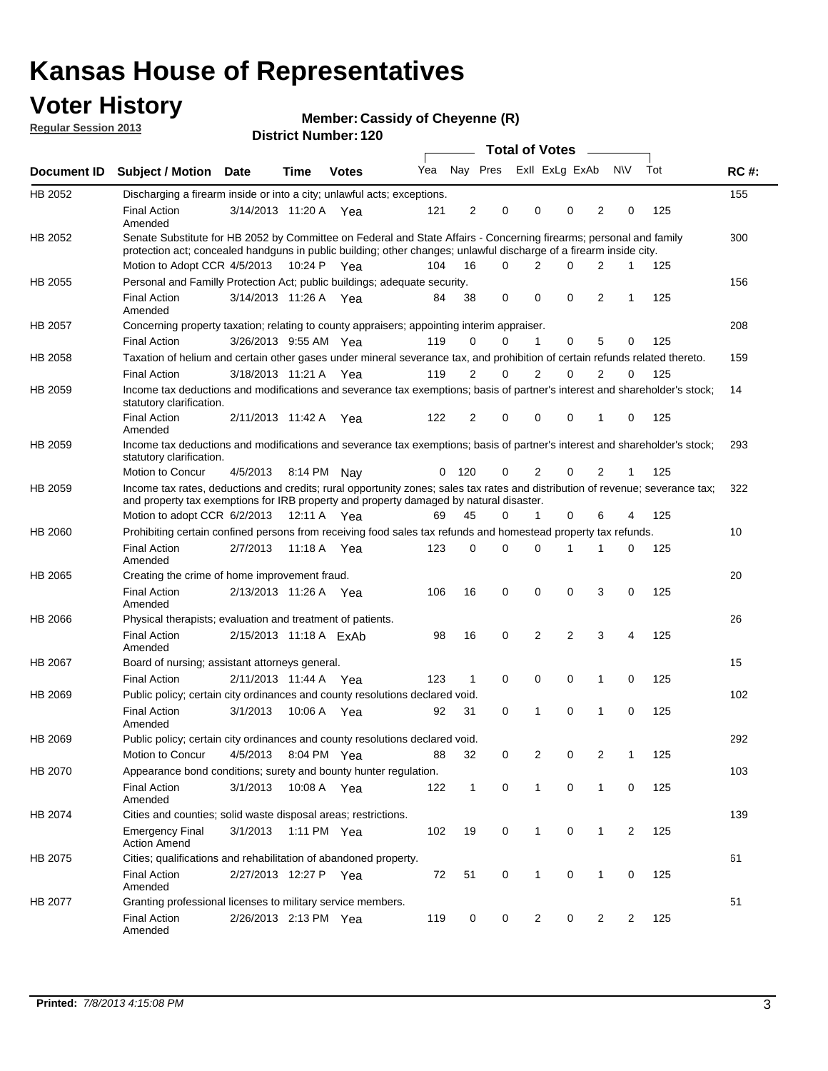### **Voter History**

**Member: Cassidy of Cheyenne (R)** 

**Regular Session 2013**

|             |                                                                                                                                                                                                                                          |                        |             |              |     |              |                         | <b>Total of Votes</b> |                |             | $\sim$         |                |     |             |
|-------------|------------------------------------------------------------------------------------------------------------------------------------------------------------------------------------------------------------------------------------------|------------------------|-------------|--------------|-----|--------------|-------------------------|-----------------------|----------------|-------------|----------------|----------------|-----|-------------|
| Document ID | <b>Subject / Motion Date</b>                                                                                                                                                                                                             |                        | <b>Time</b> | <b>Votes</b> | Yea |              | Nay Pres Exll ExLg ExAb |                       |                |             |                | <b>NV</b>      | Tot | <b>RC#:</b> |
| HB 2052     | Discharging a firearm inside or into a city; unlawful acts; exceptions.                                                                                                                                                                  |                        |             |              |     |              |                         |                       |                |             |                |                |     | 155         |
|             | <b>Final Action</b><br>Amended                                                                                                                                                                                                           | 3/14/2013 11:20 A Yea  |             |              | 121 | 2            | $\mathbf 0$             |                       | $\Omega$       | $\Omega$    | 2              | 0              | 125 |             |
| HB 2052     | Senate Substitute for HB 2052 by Committee on Federal and State Affairs - Concerning firearms; personal and family<br>protection act; concealed handguns in public building; other changes; unlawful discharge of a firearm inside city. |                        |             |              |     |              |                         |                       |                |             |                |                |     | 300         |
|             | Motion to Adopt CCR 4/5/2013 10:24 P Yea                                                                                                                                                                                                 |                        |             |              | 104 | 16           |                         | $\Omega$              | 2              | $\Omega$    | 2              | $\mathbf{1}$   | 125 |             |
| HB 2055     | Personal and Familly Protection Act; public buildings; adequate security.                                                                                                                                                                |                        |             |              |     |              |                         |                       |                |             |                |                |     | 156         |
|             | <b>Final Action</b><br>Amended                                                                                                                                                                                                           | 3/14/2013 11:26 A      |             | Yea          | 84  | 38           | $\mathbf 0$             |                       | 0              | 0           | 2              | 1              | 125 |             |
| HB 2057     | Concerning property taxation; relating to county appraisers; appointing interim appraiser.                                                                                                                                               |                        |             |              |     |              |                         |                       |                |             |                |                |     | 208         |
|             | <b>Final Action</b>                                                                                                                                                                                                                      | 3/26/2013 9:55 AM Yea  |             |              | 119 | 0            |                         | 0                     | $\mathbf 1$    | 0           | 5              | 0              | 125 |             |
| HB 2058     | Taxation of helium and certain other gases under mineral severance tax, and prohibition of certain refunds related thereto.                                                                                                              |                        |             |              |     |              |                         |                       |                |             |                |                |     | 159         |
|             | <b>Final Action</b>                                                                                                                                                                                                                      | 3/18/2013 11:21 A Yea  |             |              | 119 | 2            | 0                       |                       | $\overline{2}$ | 0           | 2              | $\Omega$       | 125 |             |
| HB 2059     | Income tax deductions and modifications and severance tax exemptions; basis of partner's interest and shareholder's stock;<br>statutory clarification.                                                                                   |                        |             |              |     |              |                         |                       |                |             |                |                |     | 14          |
|             | <b>Final Action</b><br>Amended                                                                                                                                                                                                           | 2/11/2013 11:42 A      |             | Yea          | 122 | 2            | 0                       |                       | 0              | 0           | 1              | 0              | 125 |             |
| HB 2059     | Income tax deductions and modifications and severance tax exemptions; basis of partner's interest and shareholder's stock;<br>statutory clarification.                                                                                   |                        |             |              |     |              |                         |                       |                |             |                |                |     | 293         |
|             | Motion to Concur                                                                                                                                                                                                                         | 4/5/2013               |             | 8:14 PM Nav  | 0   | 120          |                         | 0                     | 2              | 0           | 2              | 1              | 125 |             |
| HB 2059     | Income tax rates, deductions and credits; rural opportunity zones; sales tax rates and distribution of revenue; severance tax;<br>and property tax exemptions for IRB property and property damaged by natural disaster.                 |                        |             |              |     |              |                         |                       |                |             |                |                |     | 322         |
|             | Motion to adopt CCR 6/2/2013                                                                                                                                                                                                             |                        | 12:11 A     | Yea          | 69  | 45           | 0                       |                       | 1              | 0           | 6              | 4              | 125 |             |
| HB 2060     | Prohibiting certain confined persons from receiving food sales tax refunds and homestead property tax refunds.                                                                                                                           |                        |             |              |     |              |                         |                       |                |             |                |                |     | 10          |
|             | <b>Final Action</b><br>Amended                                                                                                                                                                                                           | 2/7/2013               | 11:18 A     | Yea          | 123 | 0            | $\Omega$                |                       | $\Omega$       | 1           | 1              | 0              | 125 |             |
| HB 2065     | Creating the crime of home improvement fraud.                                                                                                                                                                                            |                        |             |              |     |              |                         |                       |                |             |                |                |     | 20          |
|             | <b>Final Action</b><br>Amended                                                                                                                                                                                                           | 2/13/2013 11:26 A Yea  |             |              | 106 | 16           | $\mathbf 0$             |                       | 0              | 0           | 3              | $\Omega$       | 125 |             |
| HB 2066     | Physical therapists; evaluation and treatment of patients.                                                                                                                                                                               |                        |             |              |     |              |                         |                       |                |             |                |                |     | 26          |
|             | <b>Final Action</b><br>Amended                                                                                                                                                                                                           | 2/15/2013 11:18 A ExAb |             |              | 98  | 16           | $\mathbf 0$             |                       | 2              | 2           | 3              | 4              | 125 |             |
| HB 2067     | Board of nursing; assistant attorneys general.                                                                                                                                                                                           |                        |             |              |     |              |                         |                       |                |             |                |                |     | 15          |
|             | <b>Final Action</b>                                                                                                                                                                                                                      | 2/11/2013 11:44 A Yea  |             |              | 123 | 1            | $\mathbf 0$             |                       | 0              | 0           | 1              | 0              | 125 |             |
| HB 2069     | Public policy; certain city ordinances and county resolutions declared void.                                                                                                                                                             |                        |             |              |     |              |                         |                       |                |             |                |                |     | 102         |
|             | <b>Final Action</b><br>Amended                                                                                                                                                                                                           | 3/1/2013               | 10:06 A     | Yea          | 92  | 31           |                         | 0                     | 1              | 0           | 1              | 0              | 125 |             |
| HB 2069     | Public policy; certain city ordinances and county resolutions declared void.                                                                                                                                                             |                        |             |              |     |              |                         |                       |                |             |                |                |     | 292         |
|             | Motion to Concur                                                                                                                                                                                                                         | 4/5/2013               |             | 8:04 PM Yea  | 88  | 32           |                         | 0                     | $\overline{2}$ | 0           | $\overline{2}$ | 1              | 125 |             |
| HB 2070     | Appearance bond conditions; surety and bounty hunter regulation.                                                                                                                                                                         |                        |             |              |     |              |                         |                       |                |             |                |                |     | 103         |
|             | <b>Final Action</b><br>Amended                                                                                                                                                                                                           | 3/1/2013               |             | 10:08 A Yea  | 122 | $\mathbf{1}$ |                         | 0                     | $\mathbf{1}$   | $\mathbf 0$ | $\mathbf{1}$   | 0              | 125 |             |
| HB 2074     | Cities and counties; solid waste disposal areas; restrictions.                                                                                                                                                                           |                        |             |              |     |              |                         |                       |                |             |                |                |     | 139         |
|             | <b>Emergency Final</b><br><b>Action Amend</b>                                                                                                                                                                                            | 3/1/2013               |             | 1:11 PM Yea  | 102 | 19           |                         | 0                     | $\mathbf{1}$   | 0           | 1              | $\overline{2}$ | 125 |             |
| HB 2075     | Cities; qualifications and rehabilitation of abandoned property.                                                                                                                                                                         |                        |             |              |     |              |                         |                       |                |             |                |                |     | 61          |
|             | <b>Final Action</b><br>Amended                                                                                                                                                                                                           | 2/27/2013 12:27 P Yea  |             |              | 72  | 51           |                         | 0                     | 1              | 0           | 1              | 0              | 125 |             |
| HB 2077     | Granting professional licenses to military service members.<br><b>Final Action</b><br>Amended                                                                                                                                            | 2/26/2013 2:13 PM Yea  |             |              | 119 | 0            |                         | 0                     | $\overline{2}$ | 0           | 2              | 2              | 125 | 51          |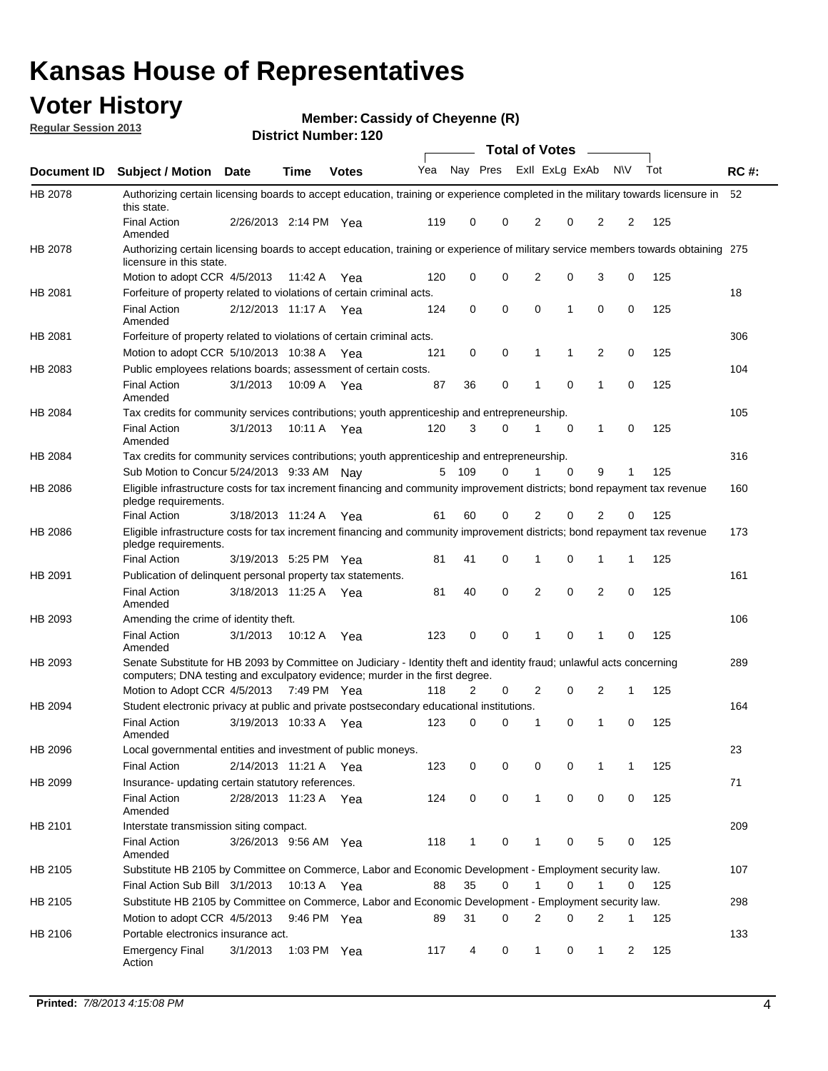### **Voter History**

**Member: Cassidy of Cheyenne (R)** 

**Regular Session 2013**

|                    |                                                                                                                                                                                                       |                       |             | וסוטנו ויעווווערו. ובע |              |              |   | <b>Total of Votes</b> |             | $\overline{\phantom{a}}$ |             |     |             |
|--------------------|-------------------------------------------------------------------------------------------------------------------------------------------------------------------------------------------------------|-----------------------|-------------|------------------------|--------------|--------------|---|-----------------------|-------------|--------------------------|-------------|-----|-------------|
| <b>Document ID</b> | <b>Subject / Motion Date</b>                                                                                                                                                                          |                       | <b>Time</b> | <b>Votes</b>           | Yea Nay Pres |              |   | Exll ExLg ExAb        |             |                          | <b>NV</b>   | Tot | <b>RC#:</b> |
| HB 2078            | Authorizing certain licensing boards to accept education, training or experience completed in the military towards licensure in<br>this state.                                                        |                       |             |                        |              |              |   |                       |             |                          |             |     | 52          |
|                    | <b>Final Action</b><br>Amended                                                                                                                                                                        | 2/26/2013 2:14 PM Yea |             |                        | 119          | 0            | 0 | 2                     | 0           | 2                        | 2           | 125 |             |
| HB 2078            | Authorizing certain licensing boards to accept education, training or experience of military service members towards obtaining 275<br>licensure in this state.                                        |                       |             |                        |              |              |   |                       |             |                          |             |     |             |
|                    | Motion to adopt CCR 4/5/2013                                                                                                                                                                          |                       | 11:42 A     | Yea                    | 120          | 0            | 0 | $\overline{2}$        | 0           | 3                        | 0           | 125 |             |
| HB 2081            | Forfeiture of property related to violations of certain criminal acts.                                                                                                                                |                       |             |                        |              |              |   |                       |             |                          |             |     | 18          |
|                    | <b>Final Action</b><br>Amended                                                                                                                                                                        | 2/12/2013 11:17 A Yea |             |                        | 124          | 0            | 0 | $\Omega$              | 1           | 0                        | 0           | 125 |             |
| HB 2081            | Forfeiture of property related to violations of certain criminal acts.                                                                                                                                |                       |             |                        |              |              |   |                       |             |                          |             |     | 306         |
|                    | Motion to adopt CCR 5/10/2013 10:38 A                                                                                                                                                                 |                       |             | Yea                    | 121          | 0            | 0 | 1                     | 1           | 2                        | 0           | 125 |             |
| HB 2083            | Public employees relations boards; assessment of certain costs.                                                                                                                                       |                       |             |                        |              |              |   |                       |             |                          |             |     | 104         |
|                    | <b>Final Action</b><br>Amended                                                                                                                                                                        | 3/1/2013              | 10:09 A     | Yea                    | 87           | 36           | 0 | 1                     | $\mathbf 0$ | 1                        | $\mathbf 0$ | 125 |             |
| HB 2084            | Tax credits for community services contributions; youth apprenticeship and entrepreneurship.                                                                                                          |                       |             |                        |              |              |   |                       |             |                          |             |     | 105         |
|                    | <b>Final Action</b><br>Amended                                                                                                                                                                        | 3/1/2013              | 10:11 A     | Yea                    | 120          | 3            | 0 | 1                     | $\mathbf 0$ | 1                        | 0           | 125 |             |
| HB 2084            | Tax credits for community services contributions; youth apprenticeship and entrepreneurship.                                                                                                          |                       |             |                        |              |              |   |                       |             |                          |             |     | 316         |
|                    | Sub Motion to Concur 5/24/2013 9:33 AM Nav                                                                                                                                                            |                       |             |                        | 5            | - 109        | 0 |                       | $\Omega$    | 9                        | 1           | 125 |             |
| HB 2086            | Eligible infrastructure costs for tax increment financing and community improvement districts; bond repayment tax revenue<br>pledge requirements.                                                     |                       |             |                        |              |              |   |                       |             |                          |             |     | 160         |
|                    | <b>Final Action</b>                                                                                                                                                                                   | 3/18/2013 11:24 A     |             | Yea                    | 61           | 60           | 0 | 2                     | 0           | $\overline{2}$           | 0           | 125 |             |
| HB 2086            | Eligible infrastructure costs for tax increment financing and community improvement districts; bond repayment tax revenue<br>pledge requirements.                                                     |                       |             |                        |              |              |   |                       |             |                          |             |     | 173         |
|                    | <b>Final Action</b>                                                                                                                                                                                   | 3/19/2013 5:25 PM Yea |             |                        | 81           | 41           | 0 | 1                     | 0           | 1                        | 1           | 125 |             |
| HB 2091            | Publication of delinguent personal property tax statements.                                                                                                                                           |                       |             |                        |              |              |   |                       |             |                          |             |     | 161         |
|                    | <b>Final Action</b><br>Amended                                                                                                                                                                        | 3/18/2013 11:25 A     |             | Yea                    | 81           | 40           | 0 | 2                     | 0           | $\overline{2}$           | 0           | 125 |             |
| HB 2093            | Amending the crime of identity theft.                                                                                                                                                                 |                       |             |                        |              |              |   |                       |             |                          |             |     | 106         |
|                    | <b>Final Action</b><br>Amended                                                                                                                                                                        | 3/1/2013              | 10:12 A     | Yea                    | 123          | 0            | 0 | 1                     | $\Omega$    | 1                        | 0           | 125 |             |
| HB 2093            | Senate Substitute for HB 2093 by Committee on Judiciary - Identity theft and identity fraud; unlawful acts concerning<br>computers; DNA testing and exculpatory evidence; murder in the first degree. |                       |             |                        |              |              |   |                       |             |                          |             |     | 289         |
|                    | Motion to Adopt CCR 4/5/2013 7:49 PM Yea                                                                                                                                                              |                       |             |                        | 118          | 2            | 0 | 2                     | 0           | 2                        | 1           | 125 |             |
| HB 2094            | Student electronic privacy at public and private postsecondary educational institutions.                                                                                                              |                       |             |                        |              |              |   |                       |             |                          |             |     | 164         |
|                    | <b>Final Action</b><br>Amended                                                                                                                                                                        | 3/19/2013 10:33 A     |             | Yea                    | 123          | 0            | 0 | 1                     | 0           | 1                        | 0           | 125 |             |
| HB 2096            | Local governmental entities and investment of public moneys.                                                                                                                                          |                       |             |                        |              |              |   |                       |             |                          |             |     | 23          |
|                    | <b>Final Action</b>                                                                                                                                                                                   | 2/14/2013 11:21 A     |             | Yea                    | 123          | 0            | 0 | 0                     | 0           | 1                        | 1           | 125 |             |
| HB 2099            | Insurance- updating certain statutory references.                                                                                                                                                     |                       |             |                        |              |              |   |                       |             |                          |             |     | 71          |
|                    | <b>Final Action</b><br>Amended                                                                                                                                                                        | 2/28/2013 11:23 A     |             | Yea                    | 124          | 0            | 0 | 1                     | 0           | 0                        | 0           | 125 |             |
| HB 2101            | Interstate transmission siting compact.                                                                                                                                                               |                       |             |                        |              |              |   |                       |             |                          |             |     | 209         |
|                    | <b>Final Action</b><br>Amended                                                                                                                                                                        | 3/26/2013 9:56 AM Yea |             |                        | 118          | $\mathbf{1}$ | 0 | 1                     | 0           | 5                        | 0           | 125 |             |
| HB 2105            | Substitute HB 2105 by Committee on Commerce, Labor and Economic Development - Employment security law.                                                                                                |                       |             |                        |              |              |   |                       |             |                          |             |     | 107         |
|                    | Final Action Sub Bill 3/1/2013                                                                                                                                                                        |                       | 10:13 A Yea |                        | 88           | 35           | 0 |                       | 0           | 1                        | 0           | 125 |             |
| HB 2105            | Substitute HB 2105 by Committee on Commerce, Labor and Economic Development - Employment security law.                                                                                                |                       |             |                        |              |              |   |                       |             |                          |             |     | 298         |
|                    | Motion to adopt CCR 4/5/2013                                                                                                                                                                          |                       | 9:46 PM Yea |                        | 89           | 31           | 0 | 2                     | 0           | 2                        | 1           | 125 |             |
| HB 2106            | Portable electronics insurance act.                                                                                                                                                                   |                       |             |                        |              |              |   |                       |             |                          |             |     | 133         |
|                    | <b>Emergency Final</b><br>Action                                                                                                                                                                      | 3/1/2013              |             | 1:03 PM $Yea$          | 117          | 4            | 0 | $\mathbf{1}$          | 0           | $\mathbf{1}$             | 2           | 125 |             |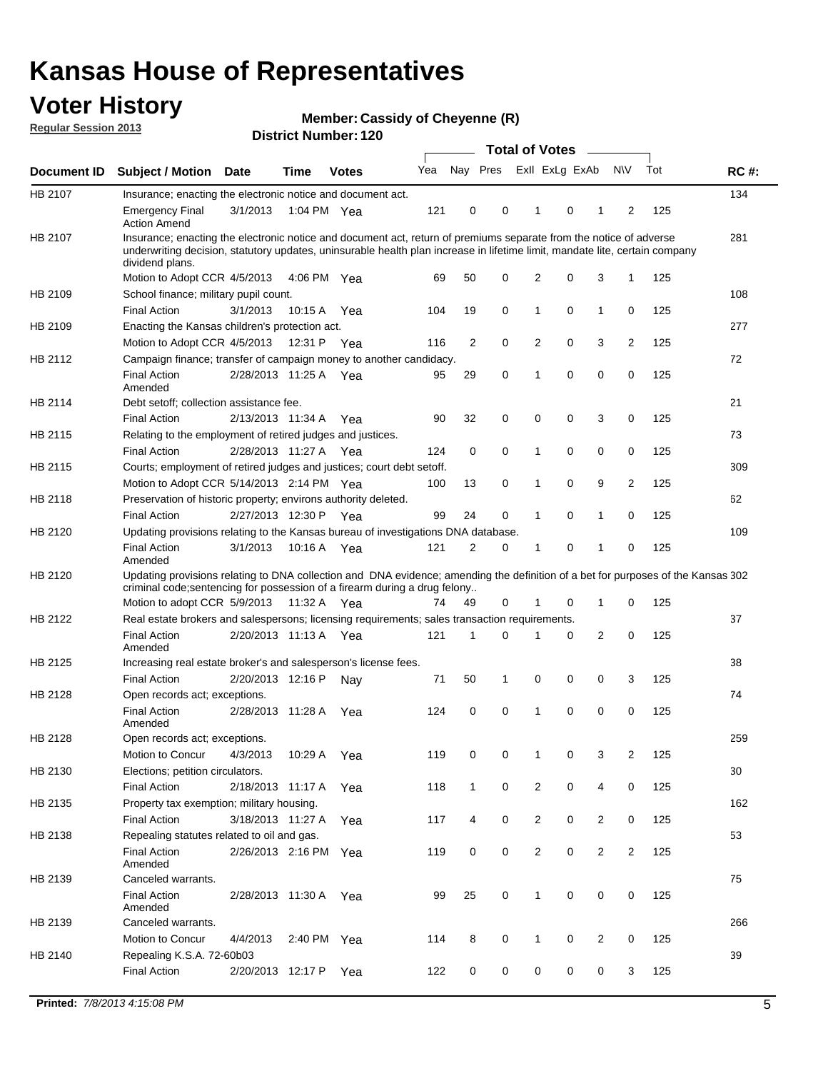### **Voter History**

**Member: Cassidy of Cheyenne (R)** 

**Regular Session 2013**

| Document ID<br>HB 2107<br>HB 2107 | <b>Subject / Motion Date</b><br>Insurance; enacting the electronic notice and document act.<br><b>Emergency Final</b><br><b>Action Amend</b>                                                                                                                         |                       | <b>Time</b> | <b>Votes</b> | Yea | Nay Pres     |   | Exll ExLg ExAb |   |                | <b>NV</b>      | Tot | <b>RC#:</b> |
|-----------------------------------|----------------------------------------------------------------------------------------------------------------------------------------------------------------------------------------------------------------------------------------------------------------------|-----------------------|-------------|--------------|-----|--------------|---|----------------|---|----------------|----------------|-----|-------------|
|                                   |                                                                                                                                                                                                                                                                      |                       |             |              |     |              |   |                |   |                |                |     |             |
|                                   |                                                                                                                                                                                                                                                                      |                       |             |              |     |              |   |                |   |                |                |     | 134         |
|                                   |                                                                                                                                                                                                                                                                      | 3/1/2013              | 1:04 PM Yea |              | 121 | 0            | 0 | 1              | 0 | 1              | 2              | 125 |             |
|                                   | Insurance; enacting the electronic notice and document act, return of premiums separate from the notice of adverse<br>underwriting decision, statutory updates, uninsurable health plan increase in lifetime limit, mandate lite, certain company<br>dividend plans. |                       |             |              |     |              |   |                |   |                |                |     | 281         |
|                                   | Motion to Adopt CCR 4/5/2013                                                                                                                                                                                                                                         |                       | 4:06 PM Yea |              | 69  | 50           | 0 | 2              | 0 | 3              | $\mathbf{1}$   | 125 |             |
| HB 2109                           | School finance; military pupil count.                                                                                                                                                                                                                                |                       |             |              |     |              |   |                |   |                |                |     | 108         |
|                                   | <b>Final Action</b>                                                                                                                                                                                                                                                  | 3/1/2013              | 10:15 A     | Yea          | 104 | 19           | 0 | 1              | 0 | $\mathbf{1}$   | 0              | 125 |             |
| HB 2109                           | Enacting the Kansas children's protection act.                                                                                                                                                                                                                       |                       |             |              |     |              |   |                |   |                |                |     | 277         |
|                                   | Motion to Adopt CCR 4/5/2013                                                                                                                                                                                                                                         |                       | 12:31 P Yea |              | 116 | 2            | 0 | $\overline{2}$ | 0 | 3              | 2              | 125 |             |
| HB 2112                           | Campaign finance; transfer of campaign money to another candidacy.                                                                                                                                                                                                   |                       |             |              |     |              |   |                |   |                |                |     | 72          |
|                                   | <b>Final Action</b><br>Amended                                                                                                                                                                                                                                       | 2/28/2013 11:25 A Yea |             |              | 95  | 29           | 0 | 1              | 0 | 0              | 0              | 125 |             |
| HB 2114                           | Debt setoff: collection assistance fee.                                                                                                                                                                                                                              |                       |             |              |     |              |   |                |   |                |                |     | 21          |
|                                   | <b>Final Action</b>                                                                                                                                                                                                                                                  | 2/13/2013 11:34 A     |             | Yea          | 90  | 32           | 0 | 0              | 0 | 3              | 0              | 125 |             |
| HB 2115                           | Relating to the employment of retired judges and justices.                                                                                                                                                                                                           |                       |             |              |     |              |   |                |   |                |                |     | 73          |
|                                   | <b>Final Action</b>                                                                                                                                                                                                                                                  | 2/28/2013 11:27 A     |             | Yea          | 124 | 0            | 0 | 1              | 0 | 0              | 0              | 125 |             |
| HB 2115                           | Courts; employment of retired judges and justices; court debt setoff.                                                                                                                                                                                                |                       |             |              |     |              |   |                |   |                |                |     | 309         |
|                                   | Motion to Adopt CCR 5/14/2013 2:14 PM Yea                                                                                                                                                                                                                            |                       |             |              | 100 | 13           | 0 | 1              | 0 | 9              | 2              | 125 |             |
| HB 2118                           | Preservation of historic property; environs authority deleted.                                                                                                                                                                                                       |                       |             |              |     |              |   |                |   |                |                |     | 62          |
|                                   | <b>Final Action</b>                                                                                                                                                                                                                                                  | 2/27/2013 12:30 P     |             | Yea          | 99  | 24           | 0 | 1              | 0 | 1              | 0              | 125 |             |
| HB 2120                           | Updating provisions relating to the Kansas bureau of investigations DNA database.                                                                                                                                                                                    |                       |             |              |     |              |   |                |   |                |                |     | 109         |
|                                   | <b>Final Action</b><br>Amended                                                                                                                                                                                                                                       | 3/1/2013              | 10:16 A     | Yea          | 121 | 2            | 0 | 1              | 0 | 1              | 0              | 125 |             |
| HB 2120                           | Updating provisions relating to DNA collection and DNA evidence; amending the definition of a bet for purposes of the Kansas 302                                                                                                                                     |                       |             |              |     |              |   |                |   |                |                |     |             |
|                                   | criminal code; sentencing for possession of a firearm during a drug felony                                                                                                                                                                                           |                       |             |              |     |              |   |                |   |                |                |     |             |
|                                   | Motion to adopt CCR 5/9/2013                                                                                                                                                                                                                                         |                       | 11:32 A Yea |              | 74  | 49           | 0 | 1              | 0 | $\mathbf 1$    | 0              | 125 |             |
| HB 2122                           | Real estate brokers and salespersons; licensing requirements; sales transaction requirements.                                                                                                                                                                        |                       |             |              |     |              |   |                |   |                |                |     | 37          |
|                                   | <b>Final Action</b><br>Amended                                                                                                                                                                                                                                       | 2/20/2013 11:13 A Yea |             |              | 121 | 1            | 0 |                | 0 | 2              | 0              | 125 |             |
| HB 2125                           | Increasing real estate broker's and salesperson's license fees.                                                                                                                                                                                                      |                       |             |              |     |              |   |                |   |                |                |     | 38          |
|                                   | <b>Final Action</b>                                                                                                                                                                                                                                                  | 2/20/2013 12:16 P     |             | Nay          | 71  | 50           | 1 | 0              | 0 | 0              | 3              | 125 |             |
| HB 2128                           | Open records act; exceptions.                                                                                                                                                                                                                                        |                       |             |              |     |              |   |                |   |                |                |     | 74          |
|                                   | <b>Final Action</b><br>Amended                                                                                                                                                                                                                                       | 2/28/2013 11:28 A     |             | Yea          | 124 | 0            | 0 | 1              | 0 | 0              | 0              | 125 |             |
| HB 2128                           | Open records act; exceptions.                                                                                                                                                                                                                                        |                       |             |              |     |              |   |                |   |                |                |     | 259         |
|                                   | Motion to Concur                                                                                                                                                                                                                                                     | 4/3/2013              | 10:29 A     | Yea          | 119 | 0            | 0 | 1              | 0 | 3              | 2              | 125 |             |
| HB 2130                           | Elections; petition circulators.                                                                                                                                                                                                                                     |                       |             |              |     |              |   |                |   |                |                |     | 30          |
|                                   | <b>Final Action</b>                                                                                                                                                                                                                                                  | 2/18/2013 11:17 A     |             | Yea          | 118 | $\mathbf{1}$ | 0 | $\overline{c}$ | 0 | 4              | 0              | 125 |             |
| HB 2135                           | Property tax exemption; military housing.                                                                                                                                                                                                                            |                       |             |              |     |              |   |                |   |                |                |     | 162         |
|                                   | <b>Final Action</b>                                                                                                                                                                                                                                                  | 3/18/2013 11:27 A     |             | Yea          | 117 | 4            | 0 | $\overline{c}$ | 0 | $\overline{2}$ | 0              | 125 |             |
| HB 2138                           | Repealing statutes related to oil and gas.                                                                                                                                                                                                                           |                       |             |              |     |              |   |                |   |                |                |     | 53          |
|                                   | <b>Final Action</b>                                                                                                                                                                                                                                                  | 2/26/2013 2:16 PM Yea |             |              | 119 | 0            | 0 | $\overline{2}$ | 0 | $\overline{2}$ | $\overline{2}$ | 125 |             |
|                                   | Amended                                                                                                                                                                                                                                                              |                       |             |              |     |              |   |                |   |                |                |     |             |
| HB 2139                           | Canceled warrants.                                                                                                                                                                                                                                                   |                       |             |              |     |              |   |                |   |                |                |     | 75          |
|                                   | <b>Final Action</b>                                                                                                                                                                                                                                                  | 2/28/2013 11:30 A     |             | Yea          | 99  | 25           | 0 | 1              | 0 | 0              | 0              | 125 |             |
|                                   | Amended                                                                                                                                                                                                                                                              |                       |             |              |     |              |   |                |   |                |                |     |             |
| HB 2139                           | Canceled warrants.                                                                                                                                                                                                                                                   |                       |             |              |     |              |   |                |   |                |                |     | 266         |
|                                   | Motion to Concur                                                                                                                                                                                                                                                     | 4/4/2013              | 2:40 PM Yea |              | 114 | 8            | 0 | 1              | 0 | 2              | 0              | 125 |             |
|                                   | Repealing K.S.A. 72-60b03                                                                                                                                                                                                                                            |                       |             |              |     |              |   |                |   |                |                |     | 39          |
| HB 2140                           |                                                                                                                                                                                                                                                                      |                       |             |              |     |              |   |                |   |                |                |     |             |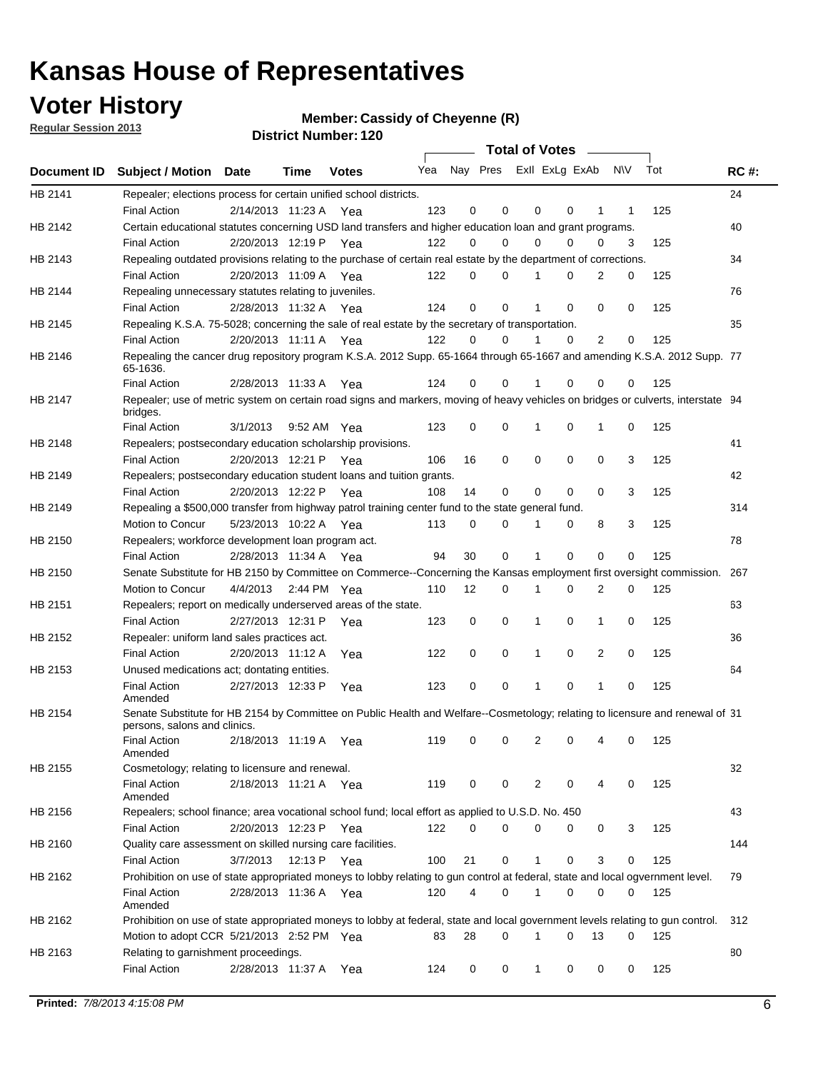### **Voter History**

**Member: Cassidy of Cheyenne (R)** 

**Regular Session 2013**

|             |                                                                                                                                              |          |                       |              |     |             | <b>Total of Votes</b>   |              |   | <b>Contract Contract</b> |           |     |             |
|-------------|----------------------------------------------------------------------------------------------------------------------------------------------|----------|-----------------------|--------------|-----|-------------|-------------------------|--------------|---|--------------------------|-----------|-----|-------------|
| Document ID | <b>Subject / Motion Date</b>                                                                                                                 |          | Time                  | <b>Votes</b> | Yea |             | Nay Pres ExII ExLg ExAb |              |   |                          | <b>NV</b> | Tot | <b>RC#:</b> |
| HB 2141     | Repealer; elections process for certain unified school districts.                                                                            |          |                       |              |     |             |                         |              |   |                          |           |     | 24          |
|             | <b>Final Action</b>                                                                                                                          |          | 2/14/2013 11:23 A Yea |              | 123 | 0           | 0                       | 0            | 0 | 1                        | 1         | 125 |             |
| HB 2142     | Certain educational statutes concerning USD land transfers and higher education loan and grant programs.                                     |          |                       |              |     |             |                         |              |   |                          |           |     | 40          |
|             | <b>Final Action</b>                                                                                                                          |          | 2/20/2013 12:19 P Yea |              | 122 | 0           | 0                       | 0            | 0 | $\Omega$                 | 3         | 125 |             |
| HB 2143     | Repealing outdated provisions relating to the purchase of certain real estate by the department of corrections.                              |          |                       |              |     |             |                         |              |   |                          |           |     | 34          |
|             | <b>Final Action</b>                                                                                                                          |          | 2/20/2013 11:09 A Yea |              | 122 | 0           | 0                       | 1            | 0 | $\overline{2}$           | 0         | 125 |             |
| HB 2144     | Repealing unnecessary statutes relating to juveniles.                                                                                        |          |                       |              |     |             |                         |              |   |                          |           |     | 76          |
|             | <b>Final Action</b>                                                                                                                          |          | 2/28/2013 11:32 A Yea |              | 124 | $\mathbf 0$ | 0                       | 1            | 0 | 0                        | 0         | 125 |             |
| HB 2145     | Repealing K.S.A. 75-5028; concerning the sale of real estate by the secretary of transportation.                                             |          |                       |              |     |             |                         |              |   |                          |           |     | 35          |
|             | <b>Final Action</b>                                                                                                                          |          | 2/20/2013 11:11 A Yea |              | 122 | 0           | 0                       | 1            | 0 | 2                        | 0         | 125 |             |
| HB 2146     | Repealing the cancer drug repository program K.S.A. 2012 Supp. 65-1664 through 65-1667 and amending K.S.A. 2012 Supp. 77<br>65-1636.         |          |                       |              |     |             |                         |              |   |                          |           |     |             |
|             | <b>Final Action</b>                                                                                                                          |          | 2/28/2013 11:33 A     | Yea          | 124 | 0           | 0                       | 1            | 0 | 0                        | 0         | 125 |             |
| HB 2147     | Repealer; use of metric system on certain road signs and markers, moving of heavy vehicles on bridges or culverts, interstate 94<br>bridges. |          |                       |              |     |             |                         |              |   |                          |           |     |             |
|             | <b>Final Action</b>                                                                                                                          | 3/1/2013 |                       | 9:52 AM Yea  | 123 | $\mathbf 0$ | 0                       |              | 0 | 1                        | 0         | 125 |             |
| HB 2148     | Repealers; postsecondary education scholarship provisions.                                                                                   |          |                       |              |     |             |                         |              |   |                          |           |     | 41          |
|             | <b>Final Action</b>                                                                                                                          |          | 2/20/2013 12:21 P     | Yea          | 106 | 16          | 0                       | $\mathbf 0$  | 0 | $\mathbf 0$              | 3         | 125 |             |
| HB 2149     | Repealers; postsecondary education student loans and tuition grants.                                                                         |          |                       |              |     |             |                         |              |   |                          |           |     | 42          |
|             | <b>Final Action</b>                                                                                                                          |          | 2/20/2013 12:22 P     | Yea          | 108 | 14          | 0                       | 0            | 0 | $\Omega$                 | 3         | 125 |             |
| HB 2149     | Repealing a \$500,000 transfer from highway patrol training center fund to the state general fund.                                           |          |                       |              |     |             |                         |              |   |                          |           |     | 314         |
|             | Motion to Concur                                                                                                                             |          | 5/23/2013 10:22 A Yea |              | 113 | 0           | 0                       |              | 0 | 8                        | 3         | 125 |             |
| HB 2150     | Repealers; workforce development loan program act.                                                                                           |          |                       |              |     |             |                         |              |   |                          |           |     | 78          |
|             | <b>Final Action</b>                                                                                                                          |          | 2/28/2013 11:34 A Yea |              | 94  | 30          | 0                       | 1            | 0 | 0                        | 0         | 125 |             |
| HB 2150     | Senate Substitute for HB 2150 by Committee on Commerce--Concerning the Kansas employment first oversight commission.                         |          |                       |              |     |             |                         |              |   |                          |           |     | 267         |
|             | Motion to Concur                                                                                                                             |          | 4/4/2013 2:44 PM Yea  |              | 110 | 12          | 0                       | 1            | 0 | 2                        | 0         | 125 |             |
| HB 2151     | Repealers; report on medically underserved areas of the state.                                                                               |          |                       |              |     |             |                         |              |   |                          |           |     | 63          |
|             | <b>Final Action</b>                                                                                                                          |          | 2/27/2013 12:31 P     | Yea          | 123 | 0           | 0                       | 1            | 0 | 1                        | 0         | 125 |             |
| HB 2152     | Repealer: uniform land sales practices act.                                                                                                  |          |                       |              |     |             |                         |              |   |                          |           |     | 36          |
|             | <b>Final Action</b>                                                                                                                          |          | 2/20/2013 11:12 A     | Yea          | 122 | 0           | 0                       | 1            | 0 | 2                        | 0         | 125 |             |
| HB 2153     | Unused medications act; dontating entities.                                                                                                  |          |                       |              |     |             |                         |              |   |                          |           |     | 64          |
|             | <b>Final Action</b><br>Amended                                                                                                               |          | 2/27/2013 12:33 P     | Yea          | 123 | 0           | 0                       | 1            | 0 | 1                        | 0         | 125 |             |
| HB 2154     | Senate Substitute for HB 2154 by Committee on Public Health and Welfare--Cosmetology; relating to licensure and renewal of 31                |          |                       |              |     |             |                         |              |   |                          |           |     |             |
|             | persons, salons and clinics.<br><b>Final Action</b>                                                                                          |          | 2/18/2013 11:19 A     | Yea          | 119 | 0           | 0                       | 2            | 0 | 4                        | 0         | 125 |             |
| HB 2155     | Amended<br>Cosmetology; relating to licensure and renewal.                                                                                   |          |                       |              |     |             |                         |              |   |                          |           |     | 32          |
|             | <b>Final Action</b><br>Amended                                                                                                               |          | 2/18/2013 11:21 A Yea |              | 119 | 0           | 0                       | 2            | 0 |                          | 0         | 125 |             |
| HB 2156     | Repealers; school finance; area vocational school fund; local effort as applied to U.S.D. No. 450                                            |          |                       |              |     |             |                         |              |   |                          |           |     | 43          |
|             | <b>Final Action</b>                                                                                                                          |          | 2/20/2013 12:23 P     | Yea          | 122 | 0           | 0                       | 0            | 0 | 0                        | 3         | 125 |             |
| HB 2160     | Quality care assessment on skilled nursing care facilities.                                                                                  |          |                       |              |     |             |                         |              |   |                          |           |     | 144         |
|             | <b>Final Action</b>                                                                                                                          | 3/7/2013 |                       | 12:13 P Yea  | 100 | 21          | 0                       | 1            | 0 | 3                        | 0         | 125 |             |
| HB 2162     | Prohibition on use of state appropriated moneys to lobby relating to gun control at federal, state and local ogvernment level.               |          |                       |              |     |             |                         |              |   |                          |           |     | 79          |
|             | <b>Final Action</b><br>Amended                                                                                                               |          | 2/28/2013 11:36 A Yea |              | 120 | 4           | 0                       | 1            | 0 | 0                        | 0         | 125 |             |
| HB 2162     | Prohibition on use of state appropriated moneys to lobby at federal, state and local government levels relating to gun control.              |          |                       |              |     |             |                         |              |   |                          |           |     | 312         |
|             | Motion to adopt CCR 5/21/2013 2:52 PM Yea                                                                                                    |          |                       |              | 83  | 28          | 0                       |              | 0 | 13                       | 0         | 125 |             |
| HB 2163     | Relating to garnishment proceedings.                                                                                                         |          |                       |              |     |             |                         |              |   |                          |           |     | 80          |
|             | <b>Final Action</b>                                                                                                                          |          | 2/28/2013 11:37 A     | Yea          | 124 | 0           | 0                       | $\mathbf{1}$ | 0 | 0                        | 0         | 125 |             |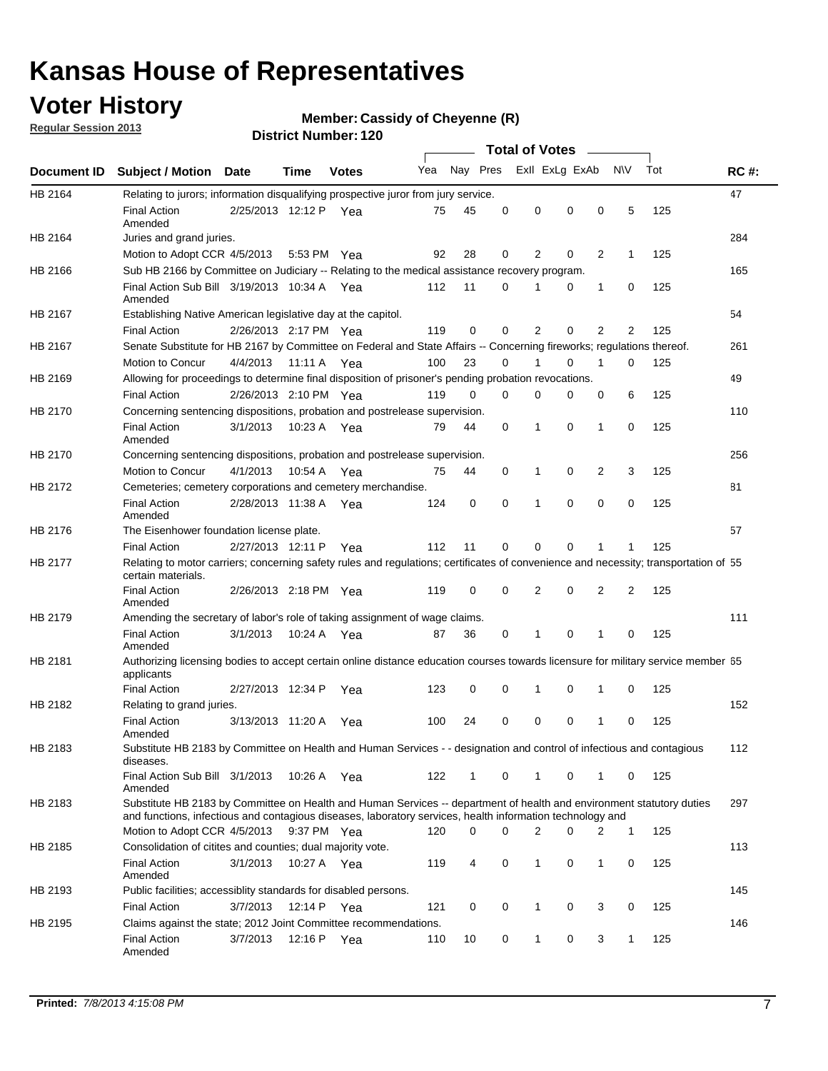### **Voter History**

**Regular Session 2013**

#### **Member: Cassidy of Cheyenne (R)**

|                    |                                                                                                                                                                                                                                    |                       |             | וסוטנו ויעווווערו. ובע |              |              |          | <b>Total of Votes</b> |          | $\sim$ |                |     |             |
|--------------------|------------------------------------------------------------------------------------------------------------------------------------------------------------------------------------------------------------------------------------|-----------------------|-------------|------------------------|--------------|--------------|----------|-----------------------|----------|--------|----------------|-----|-------------|
| <b>Document ID</b> | <b>Subject / Motion Date</b>                                                                                                                                                                                                       |                       | Time        | <b>Votes</b>           | Yea Nay Pres |              |          | Exll ExLg ExAb        |          |        | <b>NV</b>      | Tot | <b>RC#:</b> |
| HB 2164            | Relating to jurors; information disqualifying prospective juror from jury service.                                                                                                                                                 |                       |             |                        |              |              |          |                       |          |        |                |     | 47          |
|                    | <b>Final Action</b><br>Amended                                                                                                                                                                                                     | 2/25/2013 12:12 P Yea |             |                        | 75           | 45           | 0        | 0                     | 0        | 0      | 5              | 125 |             |
| HB 2164            | Juries and grand juries.                                                                                                                                                                                                           |                       |             |                        |              |              |          |                       |          |        |                |     | 284         |
|                    | Motion to Adopt CCR 4/5/2013                                                                                                                                                                                                       |                       |             | 5:53 PM Yea            | 92           | 28           | 0        | 2                     | 0        | 2      | $\mathbf 1$    | 125 |             |
| HB 2166            | Sub HB 2166 by Committee on Judiciary -- Relating to the medical assistance recovery program.                                                                                                                                      |                       |             |                        |              |              |          |                       |          |        |                |     | 165         |
|                    | Final Action Sub Bill 3/19/2013 10:34 A Yea<br>Amended                                                                                                                                                                             |                       |             |                        | 112          | 11           | 0        | 1                     | 0        | 1      | 0              | 125 |             |
| HB 2167            | Establishing Native American legislative day at the capitol.                                                                                                                                                                       |                       |             |                        |              |              |          |                       |          |        |                |     | 54          |
|                    | <b>Final Action</b>                                                                                                                                                                                                                | 2/26/2013 2:17 PM Yea |             |                        | 119          | 0            | 0        | 2                     | 0        | 2      | 2              | 125 |             |
| HB 2167            | Senate Substitute for HB 2167 by Committee on Federal and State Affairs -- Concerning fireworks; regulations thereof.                                                                                                              |                       |             |                        |              |              |          |                       |          |        |                |     | 261         |
|                    | Motion to Concur                                                                                                                                                                                                                   | 4/4/2013              | 11:11 A Yea |                        | 100          | 23           | 0        | 1                     | 0        | 1      | 0              | 125 |             |
| HB 2169            | Allowing for proceedings to determine final disposition of prisoner's pending probation revocations.                                                                                                                               |                       |             |                        |              |              |          |                       |          |        |                |     | 49          |
|                    | <b>Final Action</b>                                                                                                                                                                                                                | 2/26/2013 2:10 PM Yea |             |                        | 119          | 0            | 0        | 0                     | 0        | 0      | 6              | 125 |             |
| HB 2170            | Concerning sentencing dispositions, probation and postrelease supervision.                                                                                                                                                         |                       |             |                        |              |              |          |                       |          |        |                |     | 110         |
|                    | <b>Final Action</b><br>Amended                                                                                                                                                                                                     | 3/1/2013              |             | 10:23 A Yea            | 79           | 44           | 0        | 1                     | 0        | 1      | 0              | 125 |             |
| HB 2170            | Concerning sentencing dispositions, probation and postrelease supervision.                                                                                                                                                         |                       |             |                        |              |              |          |                       |          |        |                |     | 256         |
|                    | Motion to Concur                                                                                                                                                                                                                   | 4/1/2013              | 10:54 A     | Yea                    | 75           | 44           | 0        | $\mathbf{1}$          | 0        | 2      | 3              | 125 |             |
| HB 2172            | Cemeteries; cemetery corporations and cemetery merchandise.                                                                                                                                                                        |                       |             |                        |              |              |          |                       |          |        |                |     | 81          |
|                    | <b>Final Action</b><br>Amended                                                                                                                                                                                                     | 2/28/2013 11:38 A Yea |             |                        | 124          | 0            | $\Omega$ | 1                     | $\Omega$ | 0      | 0              | 125 |             |
| HB 2176            | The Eisenhower foundation license plate.                                                                                                                                                                                           |                       |             |                        |              |              |          |                       |          |        |                |     | 57          |
|                    | <b>Final Action</b>                                                                                                                                                                                                                | 2/27/2013 12:11 P     |             | Yea                    | 112          | 11           | 0        | 0                     | 0        |        | 1              | 125 |             |
| HB 2177            | Relating to motor carriers; concerning safety rules and regulations; certificates of convenience and necessity; transportation of 55<br>certain materials.                                                                         |                       |             |                        |              |              |          |                       |          |        |                |     |             |
|                    | <b>Final Action</b><br>Amended                                                                                                                                                                                                     | 2/26/2013 2:18 PM Yea |             |                        | 119          | 0            | 0        | 2                     | 0        | 2      | $\overline{2}$ | 125 |             |
| HB 2179            | Amending the secretary of labor's role of taking assignment of wage claims.                                                                                                                                                        |                       |             |                        |              |              |          |                       |          |        |                |     | 111         |
|                    | <b>Final Action</b><br>Amended                                                                                                                                                                                                     | 3/1/2013              | 10:24 A Yea |                        | 87           | 36           | 0        | 1                     | $\Omega$ |        | 0              | 125 |             |
| HB 2181            | Authorizing licensing bodies to accept certain online distance education courses towards licensure for military service member 55<br>applicants                                                                                    |                       |             |                        |              |              |          |                       |          |        |                |     |             |
|                    | <b>Final Action</b>                                                                                                                                                                                                                | 2/27/2013 12:34 P     |             | Yea                    | 123          | 0            | 0        | 1                     | 0        | 1      | 0              | 125 |             |
| HB 2182            | Relating to grand juries.                                                                                                                                                                                                          |                       |             |                        |              |              |          |                       |          |        |                |     | 152         |
|                    | <b>Final Action</b><br>Amended                                                                                                                                                                                                     | 3/13/2013 11:20 A     |             | Yea                    | 100          | 24           | 0        | 0                     | 0        | 1      | 0              | 125 |             |
| HB 2183            | Substitute HB 2183 by Committee on Health and Human Services - - designation and control of infectious and contagious<br>diseases.                                                                                                 |                       |             |                        |              |              |          |                       |          |        |                |     | 112         |
|                    | Final Action Sub Bill 3/1/2013<br>Amended                                                                                                                                                                                          |                       |             | 10:26 A Yea            | 122          | $\mathbf{1}$ | 0        | 1                     | 0        | 1      | 0              | 125 |             |
| HB 2183            | Substitute HB 2183 by Committee on Health and Human Services -- department of health and environment statutory duties<br>and functions, infectious and contagious diseases, laboratory services, health information technology and |                       |             |                        |              |              |          |                       |          |        |                |     | 297         |
|                    | Motion to Adopt CCR 4/5/2013                                                                                                                                                                                                       |                       |             | 9:37 PM Yea            | 120          | 0            | 0        | 2                     | 0        | 2      | $\mathbf 1$    | 125 |             |
| HB 2185            | Consolidation of citites and counties; dual majority vote.                                                                                                                                                                         |                       |             |                        |              |              |          |                       |          |        |                |     | 113         |
|                    | <b>Final Action</b><br>Amended                                                                                                                                                                                                     | 3/1/2013              |             | 10:27 A Yea            | 119          | 4            | 0        | 1                     | 0        | 1      | 0              | 125 |             |
| HB 2193            | Public facilities; accessiblity standards for disabled persons.                                                                                                                                                                    |                       |             |                        |              |              |          |                       |          |        |                |     | 145         |
|                    | <b>Final Action</b>                                                                                                                                                                                                                | 3/7/2013              | 12:14 P     | Yea                    | 121          | 0            | 0        | 1                     | 0        | 3      | 0              | 125 |             |
| HB 2195            | Claims against the state; 2012 Joint Committee recommendations.                                                                                                                                                                    |                       |             |                        |              |              |          |                       |          |        |                |     | 146         |
|                    | <b>Final Action</b><br>Amended                                                                                                                                                                                                     | 3/7/2013              |             | 12:16 P Yea            | 110          | 10           | 0        | $\mathbf{1}$          | 0        | 3      | $\mathbf{1}$   | 125 |             |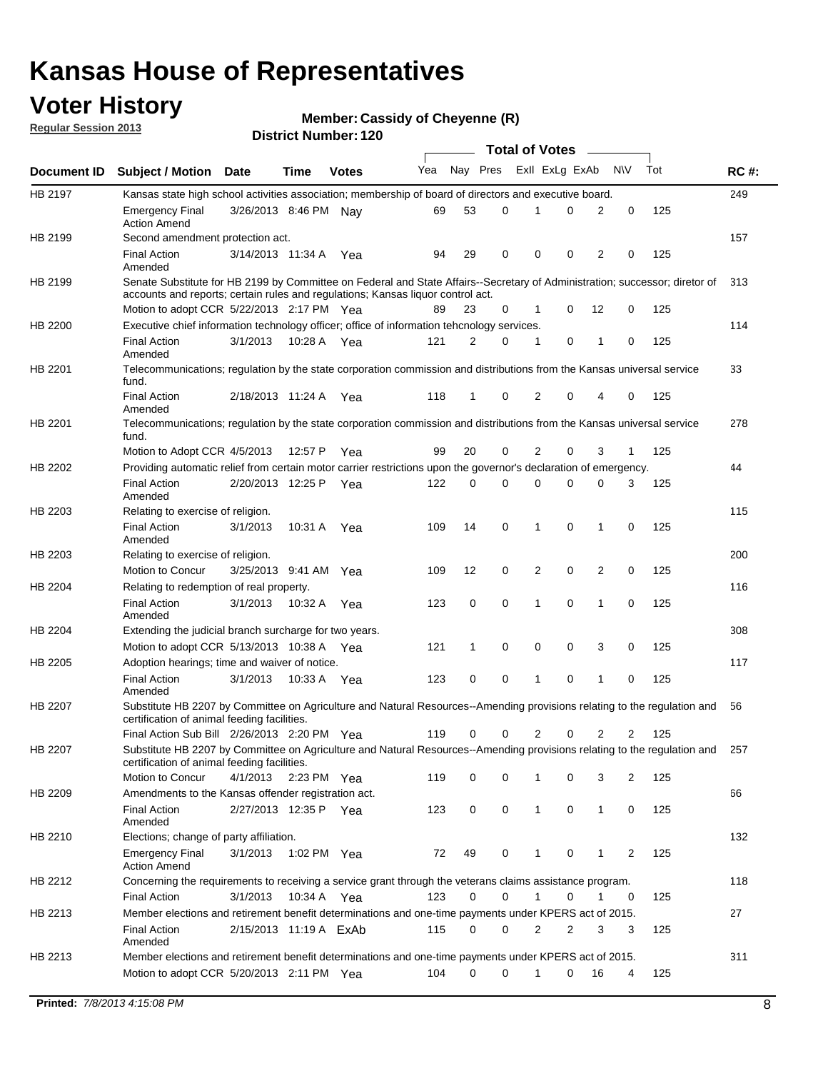### **Voter History**

**Member: Cassidy of Cheyenne (R)** 

**Regular Session 2013**

|                |                                                                                                                                                                             |                        |             |              |     |          |          | <b>Total of Votes</b> |   |              |            |     |             |
|----------------|-----------------------------------------------------------------------------------------------------------------------------------------------------------------------------|------------------------|-------------|--------------|-----|----------|----------|-----------------------|---|--------------|------------|-----|-------------|
| Document ID    | <b>Subject / Motion Date</b>                                                                                                                                                |                        | Time        | <b>Votes</b> | Yea | Nay Pres |          | Exll ExLg ExAb        |   |              | <b>N/A</b> | Tot | <b>RC#:</b> |
| HB 2197        | Kansas state high school activities association; membership of board of directors and executive board.                                                                      |                        |             |              |     |          |          |                       |   |              |            |     | 249         |
|                | Emergency Final<br><b>Action Amend</b>                                                                                                                                      | 3/26/2013 8:46 PM      |             | Nav          | 69  | 53       | 0        |                       | 0 | 2            | 0          | 125 |             |
| HB 2199        | Second amendment protection act.                                                                                                                                            |                        |             |              |     |          |          |                       |   |              |            |     | 157         |
|                | <b>Final Action</b><br>Amended                                                                                                                                              | 3/14/2013 11:34 A      |             | Yea          | 94  | 29       | 0        | 0                     | 0 | 2            | 0          | 125 |             |
| HB 2199        | Senate Substitute for HB 2199 by Committee on Federal and State Affairs--Secretary of Administration; successor; diretor of                                                 |                        |             |              |     |          |          |                       |   |              |            |     | 313         |
|                | accounts and reports; certain rules and regulations; Kansas liguor control act.                                                                                             |                        |             |              |     |          |          |                       |   |              |            |     |             |
|                | Motion to adopt CCR 5/22/2013 2:17 PM Yea                                                                                                                                   |                        |             |              | 89  | 23       | 0        | 1                     | 0 | 12           | 0          | 125 |             |
| HB 2200        | Executive chief information technology officer; office of information tehcnology services.                                                                                  |                        |             |              |     |          |          |                       |   |              |            |     | 114         |
|                | <b>Final Action</b><br>Amended                                                                                                                                              | 3/1/2013               | 10:28 A     | Yea          | 121 | 2        | 0        | 1                     | 0 | 1            | 0          | 125 |             |
| HB 2201        | Telecommunications; regulation by the state corporation commission and distributions from the Kansas universal service<br>fund.                                             |                        |             |              |     |          |          |                       |   |              |            |     | 33          |
|                | <b>Final Action</b><br>Amended                                                                                                                                              | 2/18/2013 11:24 A      |             | Yea          | 118 | 1        | 0        | 2                     | 0 | 4            | 0          | 125 |             |
| HB 2201        | Telecommunications; regulation by the state corporation commission and distributions from the Kansas universal service<br>fund.                                             |                        |             |              |     |          |          |                       |   |              |            |     | 278         |
|                | Motion to Adopt CCR 4/5/2013                                                                                                                                                |                        | 12:57 P     | Yea          | 99  | 20       | 0        | 2                     | 0 | 3            | 1          | 125 |             |
| HB 2202        | Providing automatic relief from certain motor carrier restrictions upon the governor's declaration of emergency.                                                            |                        |             |              |     |          |          |                       |   |              |            |     | 44          |
|                | <b>Final Action</b><br>Amended                                                                                                                                              | 2/20/2013 12:25 P      |             | Yea          | 122 | 0        | 0        | 0                     | 0 | 0            | 3          | 125 |             |
| HB 2203        | Relating to exercise of religion.                                                                                                                                           |                        |             |              |     |          |          |                       |   |              |            |     | 115         |
|                | <b>Final Action</b><br>Amended                                                                                                                                              | 3/1/2013               | 10:31 A     | Yea          | 109 | 14       | 0        | 1                     | 0 | 1            | 0          | 125 |             |
| HB 2203        | Relating to exercise of religion.                                                                                                                                           |                        |             |              |     |          |          |                       |   |              |            |     | 200         |
|                | Motion to Concur                                                                                                                                                            | 3/25/2013 9:41 AM      |             | Yea          | 109 | 12       | 0        | 2                     | 0 | 2            | 0          | 125 |             |
| HB 2204        | Relating to redemption of real property.                                                                                                                                    |                        |             |              |     |          |          |                       |   |              |            |     | 116         |
|                | <b>Final Action</b><br>Amended                                                                                                                                              | 3/1/2013               | 10:32 A     | Yea          | 123 | 0        | 0        | 1                     | 0 | 1            | 0          | 125 |             |
| HB 2204        | Extending the judicial branch surcharge for two years.                                                                                                                      |                        |             |              |     |          |          |                       |   |              |            |     | 308         |
|                | Motion to adopt CCR 5/13/2013 10:38 A                                                                                                                                       |                        |             | Yea          | 121 | 1        | 0        | 0                     | 0 | 3            | 0          | 125 |             |
| HB 2205        | Adoption hearings; time and waiver of notice.                                                                                                                               |                        |             |              |     |          |          |                       |   |              |            |     | 117         |
|                | <b>Final Action</b><br>Amended                                                                                                                                              | 3/1/2013               | 10:33 A Yea |              | 123 | 0        | 0        | 1                     | 0 | 1            | 0          | 125 |             |
| HB 2207        | Substitute HB 2207 by Committee on Agriculture and Natural Resources--Amending provisions relating to the regulation and<br>certification of animal feeding facilities.     |                        |             |              |     |          |          |                       |   |              |            |     | 56          |
|                | Final Action Sub Bill 2/26/2013 2:20 PM Yea                                                                                                                                 |                        |             |              | 119 | 0        | 0        | 2                     | 0 | 2            | 2          | 125 |             |
| <b>HB 2207</b> | Substitute HB 2207 by Committee on Agriculture and Natural Resources--Amending provisions relating to the regulation and 257<br>certification of animal feeding facilities. |                        |             |              |     |          |          |                       |   |              |            |     |             |
|                | Motion to Concur                                                                                                                                                            | 4/1/2013 2:23 PM Yea   |             |              | 119 | 0        | 0        | 1                     | 0 | 3            | 2          | 125 |             |
| HB 2209        | Amendments to the Kansas offender registration act.                                                                                                                         |                        |             |              |     |          |          |                       |   |              |            |     | 66          |
|                | <b>Final Action</b><br>Amended                                                                                                                                              | 2/27/2013 12:35 P Yea  |             |              | 123 | 0        | 0        | $\mathbf{1}$          | 0 | $\mathbf{1}$ | 0          | 125 |             |
| HB 2210        | Elections; change of party affiliation.                                                                                                                                     |                        |             |              |     |          |          |                       |   |              |            |     | 132         |
|                | <b>Emergency Final</b><br><b>Action Amend</b>                                                                                                                               | 3/1/2013               | 1:02 PM Yea |              | 72  | 49       | 0        |                       | 0 | 1            | 2          | 125 |             |
| HB 2212        | Concerning the requirements to receiving a service grant through the veterans claims assistance program.                                                                    |                        |             |              |     |          |          |                       |   |              |            |     | 118         |
|                | Final Action                                                                                                                                                                | 3/1/2013               |             | 10:34 A Yea  | 123 | 0        | 0        | $\mathbf{1}$          | 0 | 1            | 0          | 125 |             |
| HB 2213        | Member elections and retirement benefit determinations and one-time payments under KPERS act of 2015.                                                                       |                        |             |              |     |          |          |                       |   |              |            |     | 27          |
|                | <b>Final Action</b><br>Amended                                                                                                                                              | 2/15/2013 11:19 A ExAb |             |              | 115 | 0        | 0        | 2                     | 2 | 3            | 3          | 125 |             |
| HB 2213        | Member elections and retirement benefit determinations and one-time payments under KPERS act of 2015.                                                                       |                        |             |              |     |          |          |                       |   |              |            |     | 311         |
|                | Motion to adopt CCR 5/20/2013 2:11 PM Yea                                                                                                                                   |                        |             |              | 104 | $\Omega$ | $\Omega$ | 1                     | 0 | 16           | 4          | 125 |             |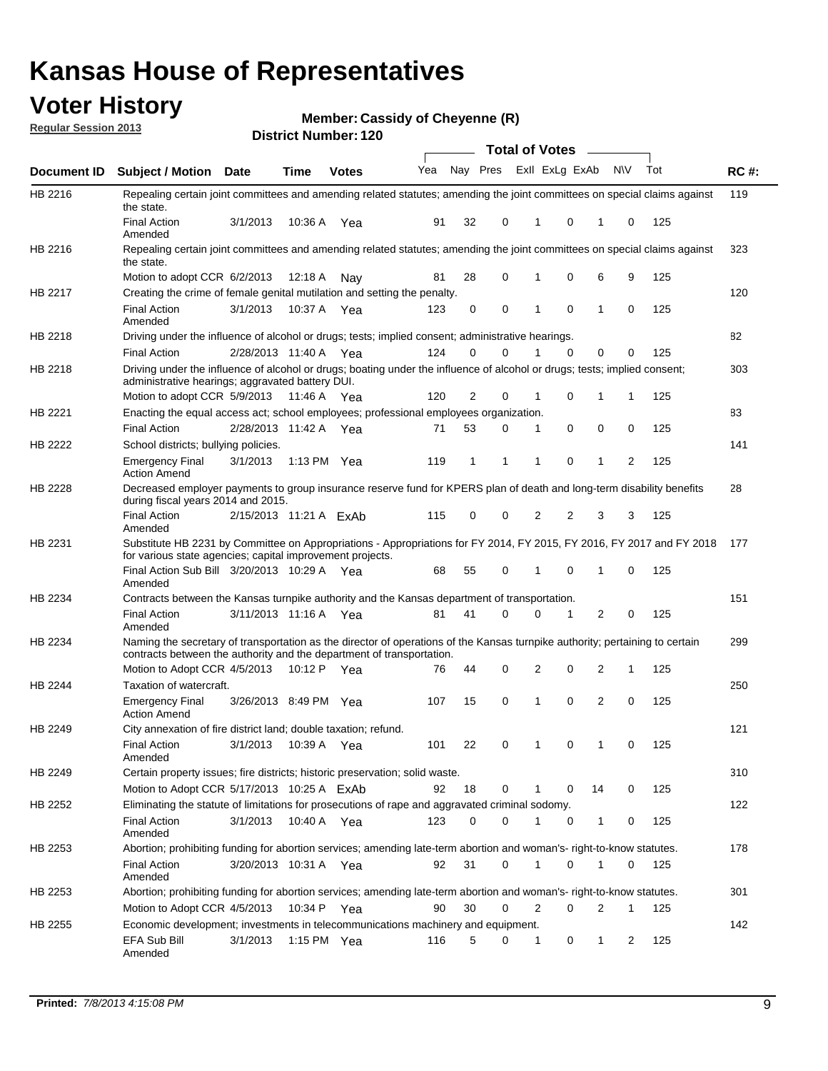### **Voter History**

**Member: Cassidy of Cheyenne (R)** 

**Regular Session 2013**

|                    |                                                                                                                                                                                                       |                        |             | וסוטג וישווווער ובט |     |              |          | <b>Total of Votes</b> |                         | $\sim$         |           |     |             |
|--------------------|-------------------------------------------------------------------------------------------------------------------------------------------------------------------------------------------------------|------------------------|-------------|---------------------|-----|--------------|----------|-----------------------|-------------------------|----------------|-----------|-----|-------------|
| <b>Document ID</b> | <b>Subject / Motion Date</b>                                                                                                                                                                          |                        | <b>Time</b> | <b>Votes</b>        | Yea |              |          |                       | Nay Pres Exll ExLg ExAb |                | <b>NV</b> | Tot | <b>RC#:</b> |
| HB 2216            | Repealing certain joint committees and amending related statutes; amending the joint committees on special claims against<br>the state.                                                               |                        |             |                     |     |              |          |                       |                         |                |           |     | 119         |
|                    | <b>Final Action</b><br>Amended                                                                                                                                                                        | 3/1/2013               | 10:36 A     | Yea                 | 91  | 32           | 0        | 1                     | 0                       | 1              | 0         | 125 |             |
| HB 2216            | Repealing certain joint committees and amending related statutes; amending the joint committees on special claims against<br>the state.                                                               |                        |             |                     |     |              |          |                       |                         |                |           |     | 323         |
|                    | Motion to adopt CCR 6/2/2013                                                                                                                                                                          |                        | 12:18 A     | Nav                 | 81  | 28           | 0        | 1                     | 0                       | 6              | 9         | 125 |             |
| HB 2217            | Creating the crime of female genital mutilation and setting the penalty.                                                                                                                              |                        |             |                     |     |              |          |                       |                         |                |           |     | 120         |
|                    | <b>Final Action</b><br>Amended                                                                                                                                                                        | 3/1/2013               | 10:37 A Yea |                     | 123 | 0            | 0        | 1                     | 0                       | 1              | 0         | 125 |             |
| HB 2218            | Driving under the influence of alcohol or drugs; tests; implied consent; administrative hearings.                                                                                                     |                        |             |                     |     |              |          |                       |                         |                |           |     | 82          |
|                    | <b>Final Action</b>                                                                                                                                                                                   | 2/28/2013 11:40 A      |             | Yea                 | 124 | 0            | $\Omega$ | 1                     | 0                       | 0              | 0         | 125 |             |
| HB 2218            | Driving under the influence of alcohol or drugs; boating under the influence of alcohol or drugs; tests; implied consent;<br>administrative hearings; aggravated battery DUI.                         |                        |             |                     |     |              |          |                       |                         |                |           |     | 303         |
|                    | Motion to adopt CCR 5/9/2013                                                                                                                                                                          |                        | 11:46 A     | Yea                 | 120 | 2            | 0        | 1                     | 0                       | 1              | 1         | 125 |             |
| HB 2221            | Enacting the equal access act; school employees; professional employees organization.                                                                                                                 |                        |             |                     |     |              |          |                       |                         |                |           |     | 83          |
|                    | <b>Final Action</b>                                                                                                                                                                                   | 2/28/2013 11:42 A      |             | Yea                 | 71  | 53           | 0        | 1                     | 0                       | 0              | 0         | 125 |             |
| <b>HB 2222</b>     | School districts; bullying policies.<br>Emergency Final                                                                                                                                               | 3/1/2013               | 1:13 PM Yea |                     | 119 | $\mathbf{1}$ | 1        | 1                     | 0                       | 1              | 2         | 125 | 141         |
|                    | <b>Action Amend</b>                                                                                                                                                                                   |                        |             |                     |     |              |          |                       |                         |                |           |     |             |
| HB 2228            | Decreased employer payments to group insurance reserve fund for KPERS plan of death and long-term disability benefits<br>during fiscal years 2014 and 2015.                                           |                        |             |                     |     |              |          |                       |                         |                |           |     | 28          |
|                    | <b>Final Action</b><br>Amended                                                                                                                                                                        | 2/15/2013 11:21 A ExAb |             |                     | 115 | 0            | 0        | 2                     | 2                       | 3              | 3         | 125 |             |
| HB 2231            | Substitute HB 2231 by Committee on Appropriations - Appropriations for FY 2014, FY 2015, FY 2016, FY 2017 and FY 2018<br>for various state agencies; capital improvement projects.                    |                        |             |                     |     |              |          |                       |                         |                |           |     | 177         |
|                    | Final Action Sub Bill 3/20/2013 10:29 A<br>Amended                                                                                                                                                    |                        |             | Yea                 | 68  | 55           | 0        |                       | 0                       | 1              | 0         | 125 |             |
| HB 2234            | Contracts between the Kansas turnpike authority and the Kansas department of transportation.                                                                                                          |                        |             |                     |     |              |          |                       |                         |                |           |     | 151         |
|                    | <b>Final Action</b><br>Amended                                                                                                                                                                        | 3/11/2013 11:16 A Yea  |             |                     | 81  | 41           | $\Omega$ | 0                     | 1                       | $\overline{2}$ | 0         | 125 |             |
| HB 2234            | Naming the secretary of transportation as the director of operations of the Kansas turnpike authority; pertaining to certain<br>contracts between the authority and the department of transportation. |                        |             |                     |     |              |          |                       |                         |                |           |     | 299         |
|                    | Motion to Adopt CCR 4/5/2013                                                                                                                                                                          |                        | 10:12 P     | Yea                 | 76  | 44           | 0        | 2                     | 0                       | 2              | 1         | 125 |             |
| HB 2244            | Taxation of watercraft.<br><b>Emergency Final</b>                                                                                                                                                     | 3/26/2013 8:49 PM Yea  |             |                     | 107 | 15           | 0        | 1                     | 0                       | 2              | 0         | 125 | 250         |
|                    | <b>Action Amend</b>                                                                                                                                                                                   |                        |             |                     |     |              |          |                       |                         |                |           |     |             |
| HB 2249            | City annexation of fire district land; double taxation; refund.                                                                                                                                       |                        |             |                     |     |              |          |                       |                         |                |           |     | 121         |
|                    | Final Action 3/1/2013 10:39 A Yea<br>Amended                                                                                                                                                          |                        |             |                     | 101 | 22           | 0        | $\mathbf{1}$          | 0                       | $\mathbf{1}$   | 0         | 125 |             |
| HB 2249            | Certain property issues; fire districts; historic preservation; solid waste.                                                                                                                          |                        |             |                     |     |              |          |                       |                         |                |           |     | 310         |
|                    | Motion to Adopt CCR 5/17/2013 10:25 A FxAb                                                                                                                                                            |                        |             |                     | 92  | 18           | 0        | 1                     | 0                       | 14             | 0         | 125 |             |
| HB 2252            | Eliminating the statute of limitations for prosecutions of rape and aggravated criminal sodomy.                                                                                                       |                        |             |                     |     |              |          |                       |                         |                |           |     | 122         |
|                    | Final Action<br>Amended                                                                                                                                                                               | 3/1/2013               |             | 10:40 A Yea         | 123 | 0            | 0        | 1                     | 0                       | $\mathbf{1}$   | 0         | 125 |             |
| HB 2253            | Abortion; prohibiting funding for abortion services; amending late-term abortion and woman's- right-to-know statutes.                                                                                 |                        |             |                     |     |              |          |                       |                         |                |           |     | 178         |
|                    | <b>Final Action</b><br>Amended                                                                                                                                                                        | 3/20/2013 10:31 A Yea  |             |                     | 92  | 31           | 0        | 1                     | 0                       | 1              | 0         | 125 |             |
| HB 2253            | Abortion; prohibiting funding for abortion services; amending late-term abortion and woman's- right-to-know statutes.                                                                                 |                        |             |                     |     |              |          |                       |                         |                |           |     | 301         |
|                    | Motion to Adopt CCR 4/5/2013                                                                                                                                                                          |                        | 10:34 P     | Yea                 | 90  | 30           | 0        | 2                     | 0                       | 2              | 1         | 125 |             |
| HB 2255            | Economic development; investments in telecommunications machinery and equipment.                                                                                                                      |                        |             |                     |     |              |          |                       |                         |                |           |     | 142         |
|                    | EFA Sub Bill<br>Amended                                                                                                                                                                               | 3/1/2013               |             | 1:15 PM $\;$ Yea    | 116 | 5            | 0        | 1                     | 0                       | 1              | 2         | 125 |             |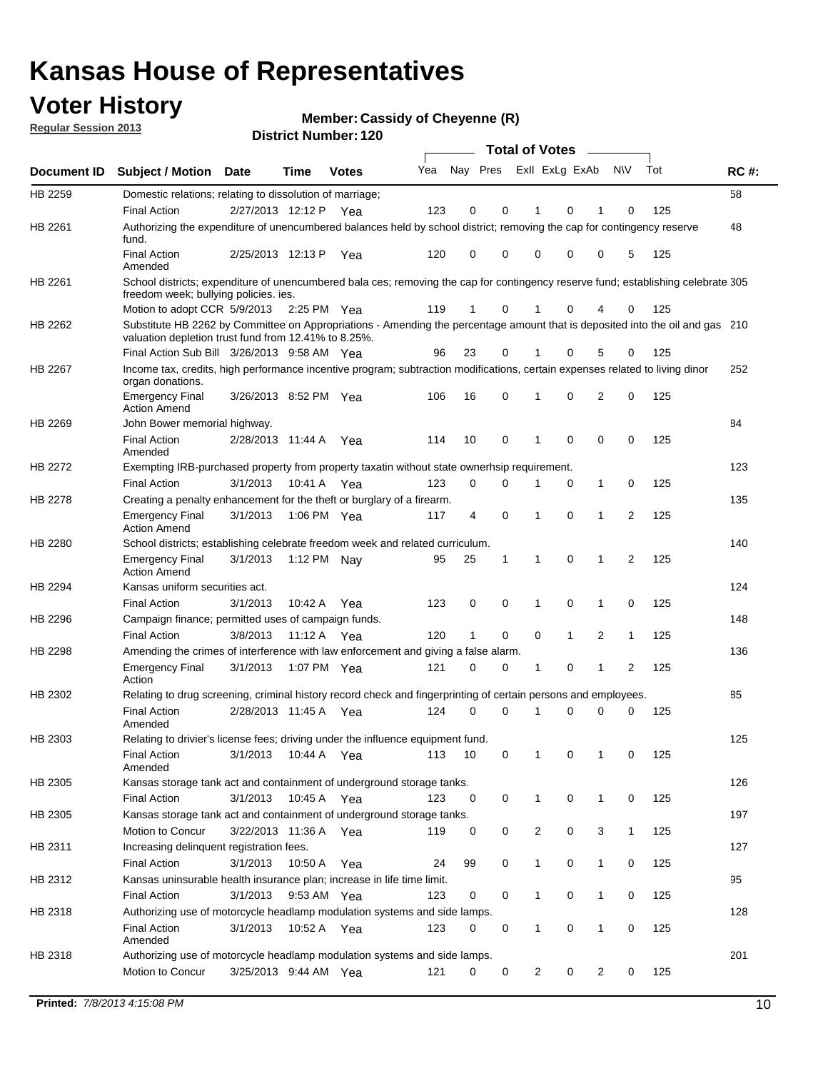### **Voter History**

**Member: Cassidy of Cheyenne (R)** 

**Regular Session 2013**

|                    |                                                                                                                                                                                       |                       |             | різитет і чинност. ТZV |     |              |             | <b>Total of Votes</b> |              | $\sim$       |                |     |     |
|--------------------|---------------------------------------------------------------------------------------------------------------------------------------------------------------------------------------|-----------------------|-------------|------------------------|-----|--------------|-------------|-----------------------|--------------|--------------|----------------|-----|-----|
| <b>Document ID</b> | <b>Subject / Motion Date</b>                                                                                                                                                          |                       | Time        | <b>Votes</b>           | Yea | Nay Pres     |             | Exll ExLg ExAb        |              |              | <b>NV</b>      | Tot | RC# |
| HB 2259            | Domestic relations; relating to dissolution of marriage;                                                                                                                              |                       |             |                        |     |              |             |                       |              |              |                |     | 58  |
|                    | <b>Final Action</b>                                                                                                                                                                   | 2/27/2013 12:12 P     |             | Yea                    | 123 | 0            | 0           | 1                     | 0            | 1            | 0              | 125 |     |
| HB 2261            | Authorizing the expenditure of unencumbered balances held by school district; removing the cap for contingency reserve<br>fund.                                                       |                       |             |                        |     |              |             |                       |              |              |                |     | 48  |
|                    | <b>Final Action</b><br>Amended                                                                                                                                                        | 2/25/2013 12:13 P     |             | Yea                    | 120 | 0            | 0           | 0                     | 0            | 0            | 5              | 125 |     |
| HB 2261            | School districts; expenditure of unencumbered bala ces; removing the cap for contingency reserve fund; establishing celebrate 305<br>freedom week; bullying policies. ies.            |                       |             |                        |     |              |             |                       |              |              |                |     |     |
|                    | Motion to adopt CCR 5/9/2013 2:25 PM Yea                                                                                                                                              |                       |             |                        | 119 | 1            | 0           |                       | 0            | 4            | 0              | 125 |     |
| HB 2262            | Substitute HB 2262 by Committee on Appropriations - Amending the percentage amount that is deposited into the oil and gas 210<br>valuation depletion trust fund from 12.41% to 8.25%. |                       |             |                        |     |              |             |                       |              |              |                |     |     |
|                    | Final Action Sub Bill 3/26/2013 9:58 AM Yea                                                                                                                                           |                       |             |                        | 96  | 23           | 0           |                       | 0            | 5            | 0              | 125 |     |
| HB 2267            | Income tax, credits, high performance incentive program; subtraction modifications, certain expenses related to living dinor<br>organ donations.                                      |                       |             |                        |     |              |             |                       |              |              |                |     | 252 |
|                    | <b>Emergency Final</b><br><b>Action Amend</b>                                                                                                                                         | 3/26/2013 8:52 PM Yea |             |                        | 106 | 16           | 0           | 1                     | 0            | 2            | 0              | 125 |     |
| HB 2269            | John Bower memorial highway.                                                                                                                                                          |                       |             |                        |     |              |             |                       |              |              |                |     | 84  |
|                    | <b>Final Action</b><br>Amended                                                                                                                                                        | 2/28/2013 11:44 A Yea |             |                        | 114 | 10           | 0           | 1                     | $\mathbf 0$  | 0            | 0              | 125 |     |
| HB 2272            | Exempting IRB-purchased property from property taxatin without state ownerhsip requirement.                                                                                           |                       |             |                        |     |              |             |                       |              |              |                |     | 123 |
|                    | <b>Final Action</b>                                                                                                                                                                   | 3/1/2013              | 10:41 A     | Yea                    | 123 | 0            | 0           | 1                     | 0            | $\mathbf{1}$ | 0              | 125 |     |
| HB 2278            | Creating a penalty enhancement for the theft or burglary of a firearm.                                                                                                                |                       |             |                        |     |              |             |                       |              |              |                |     | 135 |
|                    | <b>Emergency Final</b><br><b>Action Amend</b>                                                                                                                                         | 3/1/2013              | 1:06 PM Yea |                        | 117 | 4            | $\mathbf 0$ | 1                     | $\Omega$     | 1            | 2              | 125 |     |
| HB 2280            | School districts; establishing celebrate freedom week and related curriculum.                                                                                                         |                       |             |                        |     |              |             |                       |              |              |                |     | 140 |
|                    | <b>Emergency Final</b><br><b>Action Amend</b>                                                                                                                                         | 3/1/2013              | 1:12 PM Nav |                        | 95  | 25           | 1           | 1                     | 0            | 1            | 2              | 125 |     |
| HB 2294            | Kansas uniform securities act.                                                                                                                                                        |                       |             |                        |     |              |             |                       |              |              |                |     | 124 |
|                    | <b>Final Action</b>                                                                                                                                                                   | 3/1/2013              | 10:42 A     | Yea                    | 123 | 0            | 0           | 1                     | 0            | 1            | 0              | 125 |     |
| HB 2296            | Campaign finance; permitted uses of campaign funds.                                                                                                                                   |                       |             |                        |     |              |             |                       |              |              |                |     | 148 |
|                    | <b>Final Action</b>                                                                                                                                                                   | 3/8/2013              | 11:12 A Yea |                        | 120 | $\mathbf{1}$ | 0           | 0                     | $\mathbf{1}$ | 2            | $\mathbf{1}$   | 125 |     |
| HB 2298            | Amending the crimes of interference with law enforcement and giving a false alarm.                                                                                                    |                       |             |                        |     |              |             |                       |              |              |                |     | 136 |
|                    | <b>Emergency Final</b><br>Action                                                                                                                                                      | 3/1/2013              | 1:07 PM Yea |                        | 121 | 0            | 0           | 1                     | 0            | 1            | $\overline{2}$ | 125 |     |
| HB 2302            | Relating to drug screening, criminal history record check and fingerprinting of certain persons and employees.                                                                        |                       |             |                        |     |              |             |                       |              |              |                |     | 85  |
|                    | <b>Final Action</b><br>Amended                                                                                                                                                        | 2/28/2013 11:45 A     |             | Yea                    | 124 | $\Omega$     | $\Omega$    | 1                     | 0            | 0            | 0              | 125 |     |
| HB 2303            | Relating to drivier's license fees; driving under the influence equipment fund.                                                                                                       |                       |             |                        |     |              |             |                       |              |              |                |     | 125 |
|                    | <b>Final Action</b><br>Amended                                                                                                                                                        | 3/1/2013              | 10:44 A     | Yea                    | 113 | 10           | 0           | 1                     | 0            | 1            | 0              | 125 |     |
| HB 2305            | Kansas storage tank act and containment of underground storage tanks.                                                                                                                 |                       |             |                        |     |              |             |                       |              |              |                |     | 126 |
|                    | <b>Final Action</b>                                                                                                                                                                   | 3/1/2013              | 10:45 A     | Yea                    | 123 | 0            | 0           | 1                     | 0            | 1            | 0              | 125 |     |
| HB 2305            | Kansas storage tank act and containment of underground storage tanks.                                                                                                                 |                       |             |                        |     |              |             |                       |              |              |                |     | 197 |
|                    | Motion to Concur                                                                                                                                                                      | 3/22/2013 11:36 A     |             | Yea                    | 119 | 0            | 0           | 2                     | 0            | 3            | $\mathbf{1}$   | 125 |     |
| HB 2311            | Increasing delinquent registration fees.                                                                                                                                              |                       |             |                        |     |              |             |                       |              |              |                |     | 127 |
|                    | <b>Final Action</b>                                                                                                                                                                   | 3/1/2013              | 10:50 A     | Yea                    | 24  | 99           | 0           | 1                     | 0            | 1            | 0              | 125 |     |
| HB 2312            | Kansas uninsurable health insurance plan; increase in life time limit.                                                                                                                |                       |             |                        |     |              |             |                       |              |              |                |     | 95  |
|                    | <b>Final Action</b>                                                                                                                                                                   | 3/1/2013              | 9:53 AM Yea |                        | 123 | 0            | 0           | 1                     | 0            | 1            | 0              | 125 |     |
| HB 2318            | Authorizing use of motorcycle headlamp modulation systems and side lamps.                                                                                                             |                       |             |                        |     |              |             |                       |              |              |                |     | 128 |
|                    | <b>Final Action</b><br>Amended                                                                                                                                                        | 3/1/2013              | 10:52 A     | Yea                    | 123 | 0            | 0           | 1                     | 0            | 1            | 0              | 125 |     |
| HB 2318            | Authorizing use of motorcycle headlamp modulation systems and side lamps.                                                                                                             |                       |             |                        |     |              |             |                       |              |              |                |     | 201 |
|                    | Motion to Concur                                                                                                                                                                      | 3/25/2013 9:44 AM Yea |             |                        | 121 | 0            | 0           | 2                     | 0            | 2            | 0              | 125 |     |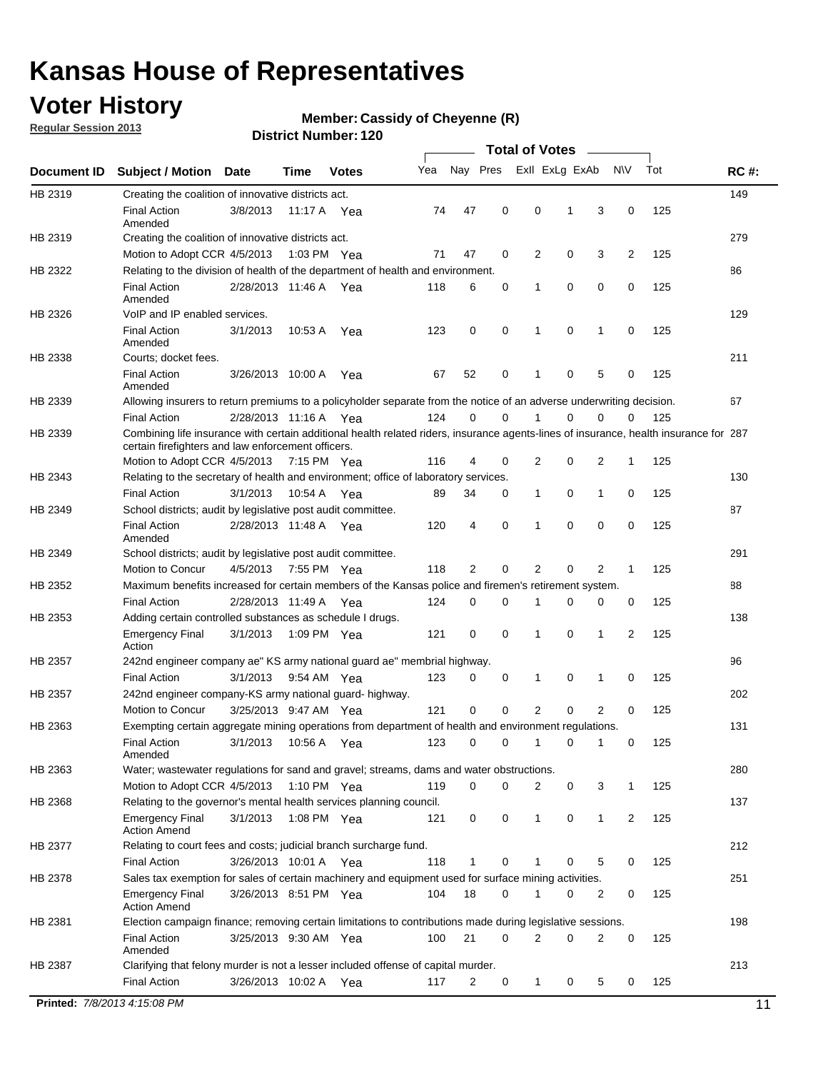### **Voter History**

**Regular Session 2013**

#### **Member: Cassidy of Cheyenne (R)**

|             |                                                                                                                                                                                             |                       |             |               |     |             |             | <b>Total of Votes</b> |             |                |             |     |             |
|-------------|---------------------------------------------------------------------------------------------------------------------------------------------------------------------------------------------|-----------------------|-------------|---------------|-----|-------------|-------------|-----------------------|-------------|----------------|-------------|-----|-------------|
| Document ID | <b>Subject / Motion</b>                                                                                                                                                                     | Date                  | Time        | <b>Votes</b>  | Yea | Nay Pres    |             | Exll ExLg ExAb        |             |                | <b>NV</b>   | Tot | <b>RC#:</b> |
| HB 2319     | Creating the coalition of innovative districts act.                                                                                                                                         |                       |             |               |     |             |             |                       |             |                |             |     | 149         |
|             | <b>Final Action</b><br>Amended                                                                                                                                                              | 3/8/2013              | 11:17 A     | Yea           | 74  | 47          | 0           | 0                     | 1           | 3              | 0           | 125 |             |
| HB 2319     | Creating the coalition of innovative districts act.                                                                                                                                         |                       |             |               |     |             |             |                       |             |                |             |     | 279         |
|             | Motion to Adopt CCR 4/5/2013                                                                                                                                                                |                       | 1:03 PM Yea |               | 71  | 47          | 0           | 2                     | 0           | 3              | 2           | 125 |             |
| HB 2322     | Relating to the division of health of the department of health and environment.                                                                                                             |                       |             |               |     |             |             |                       |             |                |             |     | 86          |
|             | <b>Final Action</b><br>Amended                                                                                                                                                              | 2/28/2013 11:46 A Yea |             |               | 118 | 6           | 0           | 1                     | 0           | 0              | 0           | 125 |             |
| HB 2326     | VoIP and IP enabled services.                                                                                                                                                               |                       |             |               |     |             |             |                       |             |                |             |     | 129         |
|             | <b>Final Action</b><br>Amended                                                                                                                                                              | 3/1/2013              | 10:53 A     | Yea           | 123 | $\mathbf 0$ | 0           | 1                     | $\mathbf 0$ | 1              | $\mathbf 0$ | 125 |             |
| HB 2338     | Courts; docket fees.                                                                                                                                                                        |                       |             |               |     |             |             |                       |             |                |             |     | 211         |
|             | <b>Final Action</b><br>Amended                                                                                                                                                              | 3/26/2013 10:00 A     |             | Yea           | 67  | 52          | 0           | $\mathbf 1$           | 0           | 5              | 0           | 125 |             |
| HB 2339     | Allowing insurers to return premiums to a policyholder separate from the notice of an adverse underwriting decision.                                                                        |                       |             |               |     |             |             |                       |             |                |             |     | 67          |
|             | <b>Final Action</b>                                                                                                                                                                         | 2/28/2013 11:16 A Yea |             |               | 124 | 0           | 0           | 1                     | 0           | 0              | 0           | 125 |             |
| HB 2339     | Combining life insurance with certain additional health related riders, insurance agents-lines of insurance, health insurance for 287<br>certain firefighters and law enforcement officers. |                       |             |               |     |             |             |                       |             |                |             |     |             |
|             | Motion to Adopt CCR 4/5/2013 7:15 PM Yea                                                                                                                                                    |                       |             |               | 116 | 4           | 0           | 2                     | 0           | 2              | 1           | 125 |             |
| HB 2343     | Relating to the secretary of health and environment; office of laboratory services.                                                                                                         |                       |             |               |     |             |             |                       |             |                |             |     | 130         |
|             | <b>Final Action</b>                                                                                                                                                                         | 3/1/2013              | 10:54 A Yea |               | 89  | 34          | 0           | $\mathbf{1}$          | 0           | 1              | 0           | 125 |             |
| HB 2349     | School districts; audit by legislative post audit committee.                                                                                                                                |                       |             |               |     |             |             |                       |             |                |             |     | 87          |
|             | <b>Final Action</b><br>Amended                                                                                                                                                              | 2/28/2013 11:48 A Yea |             |               | 120 | 4           | 0           | 1                     | $\Omega$    | $\Omega$       | 0           | 125 |             |
| HB 2349     | School districts; audit by legislative post audit committee.                                                                                                                                |                       |             |               |     |             |             |                       |             |                |             |     | 291         |
|             | Motion to Concur                                                                                                                                                                            | 4/5/2013              |             | 7:55 PM Yea   | 118 | 2           | 0           | 2                     | 0           | 2              | 1           | 125 |             |
| HB 2352     | Maximum benefits increased for certain members of the Kansas police and firemen's retirement system.                                                                                        |                       |             |               |     |             |             |                       |             |                |             |     | 88          |
|             | <b>Final Action</b>                                                                                                                                                                         | 2/28/2013 11:49 A     |             | Yea           | 124 | 0           | 0           | 1                     | 0           | 0              | 0           | 125 |             |
| HB 2353     | Adding certain controlled substances as schedule I drugs.                                                                                                                                   |                       |             |               |     |             |             |                       |             |                |             |     | 138         |
|             | <b>Emergency Final</b><br>Action                                                                                                                                                            | 3/1/2013              |             | 1:09 PM Yea   | 121 | $\mathbf 0$ | $\mathbf 0$ | 1                     | 0           | 1              | 2           | 125 |             |
| HB 2357     | 242nd engineer company ae" KS army national guard ae" membrial highway.                                                                                                                     |                       |             |               |     |             |             |                       |             |                |             |     | 96          |
|             | <b>Final Action</b>                                                                                                                                                                         | 3/1/2013              |             | 9:54 AM Yea   | 123 | 0           | 0           | 1                     | 0           | 1              | 0           | 125 |             |
| HB 2357     | 242nd engineer company-KS army national guard- highway.                                                                                                                                     |                       |             |               |     |             |             |                       |             |                |             |     | 202         |
|             | Motion to Concur                                                                                                                                                                            | 3/25/2013 9:47 AM Yea |             |               | 121 | $\mathbf 0$ | $\mathbf 0$ | $\overline{2}$        | $\mathbf 0$ | $\overline{2}$ | 0           | 125 |             |
| HB 2363     | Exempting certain aggregate mining operations from department of health and environment regulations.                                                                                        |                       |             |               |     |             |             |                       |             |                |             |     | 131         |
|             | <b>Final Action</b><br>Amended                                                                                                                                                              | 3/1/2013              | 10:56 A     | Yea           | 123 | 0           | 0           | 1                     | 0           | 1              | 0           | 125 |             |
| HB 2363     | Water; wastewater regulations for sand and gravel; streams, dams and water obstructions.                                                                                                    |                       |             |               |     |             |             |                       |             |                |             |     | 280         |
|             | Motion to Adopt CCR 4/5/2013                                                                                                                                                                |                       |             | 1:10 PM $Yea$ | 119 | 0           | 0           | 2                     | 0           | 3              | 1           | 125 |             |
| HB 2368     | Relating to the governor's mental health services planning council.<br><b>Emergency Final</b>                                                                                               | 3/1/2013              |             | 1:08 PM Yea   | 121 | 0           | 0           | $\mathbf{1}$          | 0           | 1              | 2           | 125 | 137         |
| HB 2377     | <b>Action Amend</b><br>Relating to court fees and costs; judicial branch surcharge fund.                                                                                                    |                       |             |               |     |             |             |                       |             |                |             |     | 212         |
|             | <b>Final Action</b>                                                                                                                                                                         | 3/26/2013 10:01 A Yea |             |               | 118 | 1           | 0           |                       | 0           | 5              | 0           | 125 |             |
| HB 2378     | Sales tax exemption for sales of certain machinery and equipment used for surface mining activities.                                                                                        |                       |             |               |     |             |             |                       |             |                |             |     | 251         |
|             | <b>Emergency Final</b><br><b>Action Amend</b>                                                                                                                                               | 3/26/2013 8:51 PM Yea |             |               | 104 | 18          | 0           | 1                     | 0           | 2              | 0           | 125 |             |
| HB 2381     | Election campaign finance; removing certain limitations to contributions made during legislative sessions.                                                                                  |                       |             |               |     |             |             |                       |             |                |             |     | 198         |
|             | <b>Final Action</b>                                                                                                                                                                         | 3/25/2013 9:30 AM Yea |             |               | 100 | 21          | 0           | $\overline{2}$        | 0           | 2              | 0           | 125 |             |
|             | Amended                                                                                                                                                                                     |                       |             |               |     |             |             |                       |             |                |             |     |             |
| HB 2387     | Clarifying that felony murder is not a lesser included offense of capital murder.                                                                                                           |                       |             |               |     |             |             |                       |             |                |             |     | 213         |
|             | <b>Final Action</b>                                                                                                                                                                         | 3/26/2013 10:02 A     |             | Yea           | 117 | 2           | 0           | $\mathbf{1}$          | 0           | 5              | 0           | 125 |             |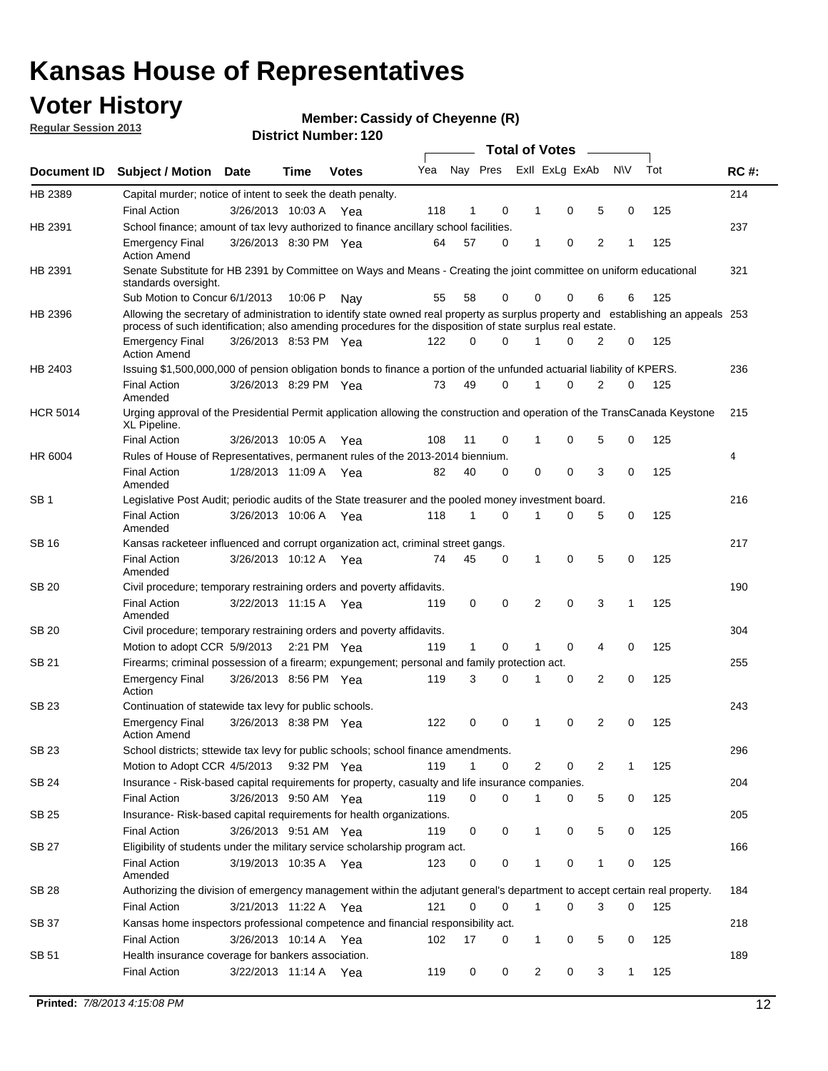### **Voter History**

**Member: Cassidy of Cheyenne (R)** 

**Regular Session 2013**

|                 |                                                                                                                                                                                                                                                  |                       |             |              |     |              |          | <b>Total of Votes</b> |   |   |              |     |             |
|-----------------|--------------------------------------------------------------------------------------------------------------------------------------------------------------------------------------------------------------------------------------------------|-----------------------|-------------|--------------|-----|--------------|----------|-----------------------|---|---|--------------|-----|-------------|
| Document ID     | Subject / Motion Date                                                                                                                                                                                                                            |                       | Time        | <b>Votes</b> | Yea | Nay Pres     |          | Exll ExLg ExAb        |   |   | <b>NV</b>    | Tot | <b>RC#:</b> |
| HB 2389         | Capital murder; notice of intent to seek the death penalty.                                                                                                                                                                                      |                       |             |              |     |              |          |                       |   |   |              |     | 214         |
|                 | <b>Final Action</b>                                                                                                                                                                                                                              | 3/26/2013 10:03 A     |             | Yea          | 118 | 1            | 0        | 1                     | 0 | 5 | 0            | 125 |             |
| HB 2391         | School finance; amount of tax levy authorized to finance ancillary school facilities.                                                                                                                                                            |                       |             |              |     |              |          |                       |   |   |              |     | 237         |
|                 | <b>Emergency Final</b><br><b>Action Amend</b>                                                                                                                                                                                                    | 3/26/2013 8:30 PM Yea |             |              | 64  | 57           | 0        | 1                     | 0 | 2 | 1            | 125 |             |
| HB 2391         | Senate Substitute for HB 2391 by Committee on Ways and Means - Creating the joint committee on uniform educational<br>standards oversight.                                                                                                       |                       |             |              |     |              |          |                       |   |   |              |     | 321         |
|                 | Sub Motion to Concur 6/1/2013                                                                                                                                                                                                                    |                       | 10:06 P     | Nav          | 55  | 58           | 0        | 0                     | 0 | 6 | 6            | 125 |             |
| HB 2396         | Allowing the secretary of administration to identify state owned real property as surplus property and establishing an appeals 253<br>process of such identification; also amending procedures for the disposition of state surplus real estate. |                       |             |              |     |              |          |                       |   |   |              |     |             |
|                 | <b>Emergency Final</b><br>Action Amend                                                                                                                                                                                                           | 3/26/2013 8:53 PM Yea |             |              | 122 | 0            | 0        |                       | 0 | 2 | 0            | 125 |             |
| HB 2403         | Issuing \$1,500,000,000 of pension obligation bonds to finance a portion of the unfunded actuarial liability of KPERS.                                                                                                                           |                       |             |              |     |              |          |                       |   |   |              |     | 236         |
|                 | <b>Final Action</b><br>Amended                                                                                                                                                                                                                   | 3/26/2013 8:29 PM Yea |             |              | 73  | 49           | 0        | 1                     | 0 | 2 | 0            | 125 |             |
| <b>HCR 5014</b> | Urging approval of the Presidential Permit application allowing the construction and operation of the TransCanada Keystone<br>XL Pipeline.                                                                                                       |                       |             |              |     |              |          |                       |   |   |              |     | 215         |
|                 | <b>Final Action</b>                                                                                                                                                                                                                              | 3/26/2013 10:05 A     |             | Yea          | 108 | 11           | 0        |                       | 0 | 5 | 0            | 125 |             |
| HR 6004         | Rules of House of Representatives, permanent rules of the 2013-2014 biennium.                                                                                                                                                                    |                       |             |              |     |              |          |                       |   |   |              |     | 4           |
|                 | <b>Final Action</b><br>Amended                                                                                                                                                                                                                   | 1/28/2013 11:09 A     |             | Yea          | 82  | 40           | 0        | 0                     | 0 | 3 | 0            | 125 |             |
| SB 1            | Legislative Post Audit; periodic audits of the State treasurer and the pooled money investment board.                                                                                                                                            |                       |             |              |     |              |          |                       |   |   |              |     | 216         |
|                 | <b>Final Action</b><br>Amended                                                                                                                                                                                                                   | 3/26/2013 10:06 A     |             | Yea          | 118 | 1            | 0        | 1                     | 0 | 5 | 0            | 125 |             |
| SB 16           | Kansas racketeer influenced and corrupt organization act, criminal street gangs.                                                                                                                                                                 |                       |             |              |     |              |          |                       |   |   |              |     | 217         |
|                 | <b>Final Action</b><br>Amended                                                                                                                                                                                                                   | 3/26/2013 10:12 A Yea |             |              | 74  | 45           | 0        | 1                     | 0 | 5 | 0            | 125 |             |
| SB 20           | Civil procedure; temporary restraining orders and poverty affidavits.                                                                                                                                                                            |                       |             |              |     |              |          |                       |   |   |              |     | 190         |
|                 | <b>Final Action</b><br>Amended                                                                                                                                                                                                                   | 3/22/2013 11:15 A     |             | Yea          | 119 | 0            | 0        | 2                     | 0 | 3 | 1            | 125 |             |
| SB 20           | Civil procedure; temporary restraining orders and poverty affidavits.                                                                                                                                                                            |                       |             |              |     |              |          |                       |   |   |              |     | 304         |
|                 | Motion to adopt CCR 5/9/2013                                                                                                                                                                                                                     |                       | 2:21 PM Yea |              | 119 | $\mathbf{1}$ | 0        | 1                     | 0 | 4 | 0            | 125 |             |
| SB 21           | Firearms; criminal possession of a firearm; expungement; personal and family protection act.                                                                                                                                                     |                       |             |              |     |              |          |                       |   |   |              |     | 255         |
|                 | <b>Emergency Final</b><br>Action                                                                                                                                                                                                                 | 3/26/2013 8:56 PM Yea |             |              | 119 | 3            | 0        |                       | 0 | 2 | 0            | 125 |             |
| SB 23           | Continuation of statewide tax levy for public schools.                                                                                                                                                                                           |                       |             |              |     |              |          |                       |   |   |              |     | 243         |
|                 | <b>Emergency Final</b><br><b>Action Amend</b>                                                                                                                                                                                                    | 3/26/2013 8:38 PM Yea |             |              | 122 | 0            | 0        | 1                     | 0 | 2 | 0            | 125 |             |
| <b>SB 23</b>    | School districts; sttewide tax levy for public schools; school finance amendments.                                                                                                                                                               |                       |             |              |     |              |          |                       |   |   |              |     | 296         |
|                 | Motion to Adopt CCR 4/5/2013 9:32 PM Yea                                                                                                                                                                                                         |                       |             |              | 119 | 1            | 0        | 2                     | 0 | 2 | 1            | 125 |             |
| <b>SB 24</b>    | Insurance - Risk-based capital requirements for property, casualty and life insurance companies.                                                                                                                                                 |                       |             |              |     |              |          |                       |   |   |              |     | 204         |
|                 | <b>Final Action</b>                                                                                                                                                                                                                              | 3/26/2013 9:50 AM Yea |             |              | 119 | 0            | 0        |                       | 0 | 5 | 0            | 125 |             |
| SB 25           | Insurance-Risk-based capital requirements for health organizations.                                                                                                                                                                              |                       |             |              |     |              |          |                       |   |   |              |     | 205         |
|                 | <b>Final Action</b>                                                                                                                                                                                                                              | 3/26/2013 9:51 AM Yea |             |              | 119 | 0            | 0        | 1                     | 0 | 5 | 0            | 125 |             |
| SB 27           | Eligibility of students under the military service scholarship program act.                                                                                                                                                                      |                       |             |              |     |              |          |                       |   |   |              |     | 166         |
|                 | <b>Final Action</b><br>Amended                                                                                                                                                                                                                   | 3/19/2013 10:35 A Yea |             |              | 123 | 0            | 0        |                       | 0 | 1 | 0            | 125 |             |
| SB 28           | Authorizing the division of emergency management within the adjutant general's department to accept certain real property.                                                                                                                       |                       |             |              |     |              |          |                       |   |   |              |     | 184         |
|                 | <b>Final Action</b>                                                                                                                                                                                                                              | 3/21/2013 11:22 A Yea |             |              | 121 | 0            | $\Omega$ | 1                     | 0 | 3 | $\Omega$     | 125 |             |
| SB 37           | Kansas home inspectors professional competence and financial responsibility act.                                                                                                                                                                 |                       |             |              |     |              |          |                       |   |   |              |     | 218         |
|                 | <b>Final Action</b>                                                                                                                                                                                                                              | 3/26/2013 10:14 A Yea |             |              | 102 | 17           | 0        | 1                     | 0 | 5 | 0            | 125 |             |
| SB 51           | Health insurance coverage for bankers association.                                                                                                                                                                                               |                       |             |              |     |              |          |                       |   |   |              |     | 189         |
|                 | <b>Final Action</b>                                                                                                                                                                                                                              | 3/22/2013 11:14 A Yea |             |              | 119 | 0            | 0        | 2                     | 0 | 3 | $\mathbf{1}$ | 125 |             |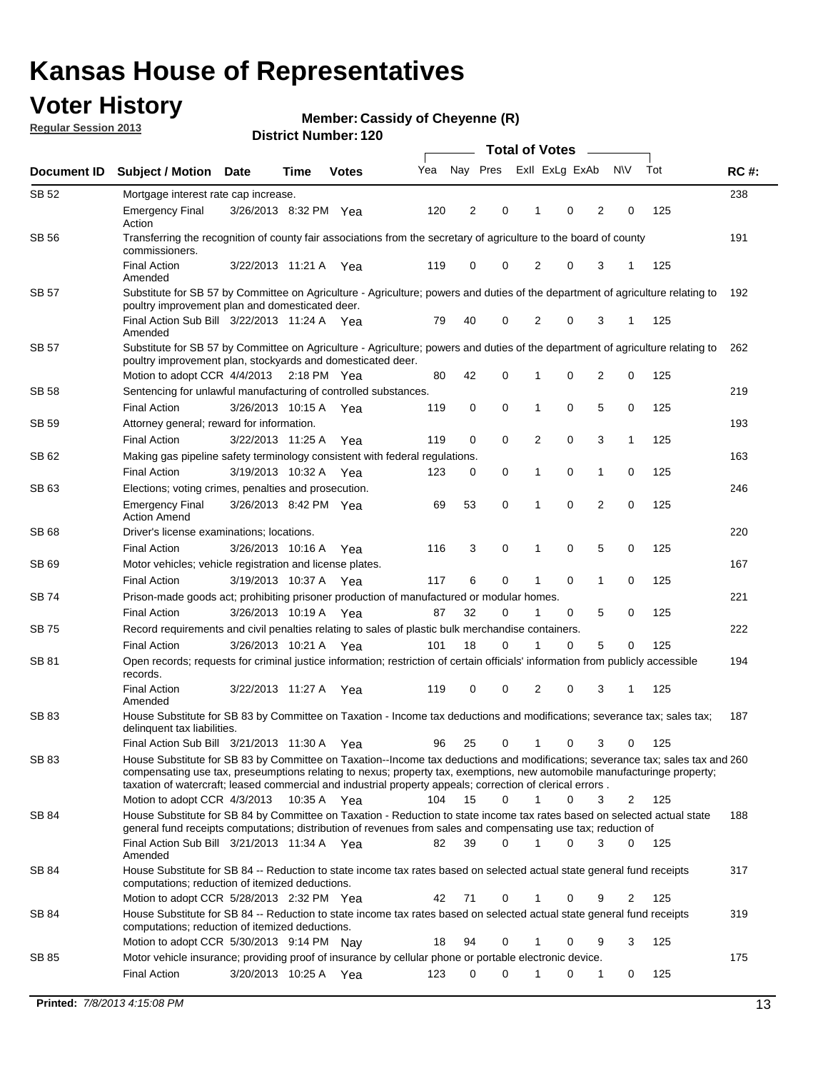### **Voter History**

**Member: Cassidy of Cheyenne (R)** 

**Regular Session 2013**

|              |                                                                                                                                                                                                                                            |                       | <b>Total of Votes</b><br>$\overline{\phantom{a}}$ |              |     |          |          |                |   |                |             |     |             |
|--------------|--------------------------------------------------------------------------------------------------------------------------------------------------------------------------------------------------------------------------------------------|-----------------------|---------------------------------------------------|--------------|-----|----------|----------|----------------|---|----------------|-------------|-----|-------------|
| Document ID  | <b>Subject / Motion</b>                                                                                                                                                                                                                    | <b>Date</b>           | Time                                              | <b>Votes</b> | Yea | Nay Pres |          | Exll ExLg ExAb |   |                | <b>NV</b>   | Tot | <b>RC#:</b> |
| SB 52        | Mortgage interest rate cap increase.                                                                                                                                                                                                       |                       |                                                   |              |     |          |          |                |   |                |             |     | 238         |
|              | <b>Emergency Final</b><br>Action                                                                                                                                                                                                           | 3/26/2013 8:32 PM Yea |                                                   |              | 120 | 2        | 0        | 1              | 0 | 2              | 0           | 125 |             |
| <b>SB 56</b> | Transferring the recognition of county fair associations from the secretary of agriculture to the board of county<br>commissioners.                                                                                                        |                       |                                                   |              |     |          |          |                |   |                |             |     | 191         |
|              | <b>Final Action</b><br>Amended                                                                                                                                                                                                             |                       | 3/22/2013 11:21 A                                 | Yea          | 119 | 0        | 0        | 2              | 0 | 3              | 1           | 125 |             |
| <b>SB 57</b> | Substitute for SB 57 by Committee on Agriculture - Agriculture; powers and duties of the department of agriculture relating to<br>poultry improvement plan and domesticated deer.                                                          |                       |                                                   |              |     |          |          |                |   |                |             |     | 192         |
|              | Final Action Sub Bill 3/22/2013 11:24 A Yea<br>Amended                                                                                                                                                                                     |                       |                                                   |              | 79  | 40       | 0        | 2              | 0 | 3              | $\mathbf 1$ | 125 |             |
| SB 57        | Substitute for SB 57 by Committee on Agriculture - Agriculture; powers and duties of the department of agriculture relating to<br>poultry improvement plan, stockyards and domesticated deer.                                              |                       |                                                   |              |     |          |          |                |   |                |             |     | 262         |
|              | Motion to adopt CCR 4/4/2013                                                                                                                                                                                                               |                       | $2:18$ PM Yea                                     |              | 80  | 42       | 0        |                | 0 | $\overline{2}$ | 0           | 125 |             |
| SB 58        | Sentencing for unlawful manufacturing of controlled substances.                                                                                                                                                                            |                       |                                                   |              |     |          |          |                |   |                |             |     | 219         |
|              | <b>Final Action</b>                                                                                                                                                                                                                        | 3/26/2013 10:15 A     |                                                   | Yea          | 119 | 0        | 0        | 1              | 0 | 5              | 0           | 125 |             |
| <b>SB 59</b> | Attorney general; reward for information.                                                                                                                                                                                                  |                       |                                                   |              |     |          |          |                |   |                |             |     | 193         |
|              | <b>Final Action</b>                                                                                                                                                                                                                        |                       | 3/22/2013 11:25 A                                 | Yea          | 119 | 0        | 0        | 2              | 0 | 3              | 1           | 125 |             |
| SB 62        | Making gas pipeline safety terminology consistent with federal regulations.                                                                                                                                                                |                       |                                                   |              |     |          |          |                |   |                |             |     | 163         |
|              | <b>Final Action</b>                                                                                                                                                                                                                        |                       | 3/19/2013 10:32 A                                 | Yea          | 123 | 0        | 0        | 1              | 0 | 1              | 0           | 125 |             |
| SB 63        | Elections; voting crimes, penalties and prosecution.                                                                                                                                                                                       |                       |                                                   |              |     |          |          |                |   |                |             |     | 246         |
|              | <b>Emergency Final</b><br><b>Action Amend</b>                                                                                                                                                                                              |                       | 3/26/2013 8:42 PM Yea                             |              | 69  | 53       | 0        | 1              | 0 | $\overline{2}$ | 0           | 125 |             |
| SB 68        | Driver's license examinations; locations.                                                                                                                                                                                                  |                       |                                                   |              |     |          |          |                |   |                |             |     | 220         |
|              | <b>Final Action</b>                                                                                                                                                                                                                        |                       | 3/26/2013 10:16 A                                 | Yea          | 116 | 3        | 0        | 1              | 0 | 5              | 0           | 125 |             |
| SB 69        | Motor vehicles; vehicle registration and license plates.                                                                                                                                                                                   |                       |                                                   |              |     |          |          |                |   |                |             |     | 167         |
|              | <b>Final Action</b>                                                                                                                                                                                                                        |                       | 3/19/2013 10:37 A                                 | Yea          | 117 | 6        | 0        | 1              | 0 | $\mathbf{1}$   | 0           | 125 |             |
| SB 74        | Prison-made goods act; prohibiting prisoner production of manufactured or modular homes.                                                                                                                                                   |                       |                                                   |              |     |          |          |                |   |                |             |     | 221         |
|              | <b>Final Action</b>                                                                                                                                                                                                                        |                       | 3/26/2013 10:19 A                                 | Yea          | 87  | 32       | 0        | 1              | 0 | 5              | 0           | 125 |             |
| SB 75        | Record requirements and civil penalties relating to sales of plastic bulk merchandise containers.                                                                                                                                          |                       |                                                   |              |     |          |          |                |   |                |             |     | 222         |
|              | <b>Final Action</b>                                                                                                                                                                                                                        |                       | 3/26/2013 10:21 A                                 | Yea          | 101 | 18       | 0        | 1              | 0 | 5              | 0           | 125 |             |
| SB 81        | Open records; requests for criminal justice information; restriction of certain officials' information from publicly accessible<br>records.                                                                                                |                       |                                                   |              |     |          |          |                |   |                |             |     | 194         |
|              | <b>Final Action</b><br>Amended                                                                                                                                                                                                             |                       | 3/22/2013 11:27 A                                 | Yea          | 119 | 0        | 0        | $\overline{2}$ | 0 | 3              | 1           | 125 |             |
| <b>SB 83</b> | House Substitute for SB 83 by Committee on Taxation - Income tax deductions and modifications; severance tax; sales tax;<br>delinquent tax liabilities.<br>Final Action Sub Bill 3/21/2013 11:30 A                                         |                       |                                                   | Yea          | 96  | 25       | 0        | 1              | 0 | 3              | 0           | 125 | 187         |
| SB 83        | House Substitute for SB 83 by Committee on Taxation--Income tax deductions and modifications; severance tax; sales tax and 260                                                                                                             |                       |                                                   |              |     |          |          |                |   |                |             |     |             |
|              | compensating use tax, preseumptions relating to nexus; property tax, exemptions, new automobile manufacturinge property;<br>taxation of watercraft; leased commercial and industrial property appeals; correction of clerical errors.      |                       |                                                   |              |     |          |          |                |   |                |             |     |             |
|              | Motion to adopt CCR 4/3/2013                                                                                                                                                                                                               |                       | 10:35 A Yea                                       |              | 104 | 15       | $\Omega$ | $\mathbf 1$    | 0 | 3              | 2           | 125 |             |
| <b>SB 84</b> | House Substitute for SB 84 by Committee on Taxation - Reduction to state income tax rates based on selected actual state<br>general fund receipts computations; distribution of revenues from sales and compensating use tax; reduction of |                       |                                                   |              |     |          |          |                |   |                |             |     | 188         |
|              | Final Action Sub Bill 3/21/2013 11:34 A Yea<br>Amended                                                                                                                                                                                     |                       |                                                   |              | 82  | 39       | 0        | 1              | 0 | 3              | 0           | 125 |             |
| SB 84        | House Substitute for SB 84 -- Reduction to state income tax rates based on selected actual state general fund receipts<br>computations; reduction of itemized deductions.                                                                  |                       |                                                   |              |     |          |          |                |   |                |             |     | 317         |
|              | Motion to adopt CCR 5/28/2013 2:32 PM Yea                                                                                                                                                                                                  |                       |                                                   |              | 42  | 71       | 0        | 1              | 0 | 9              | 2           | 125 |             |
| SB 84        | House Substitute for SB 84 -- Reduction to state income tax rates based on selected actual state general fund receipts<br>computations; reduction of itemized deductions.<br>Motion to adopt CCR 5/30/2013 9:14 PM Nay                     |                       |                                                   |              | 18  | 94       | 0        | 1              | 0 | 9              | 3           | 125 | 319         |
| SB 85        | Motor vehicle insurance; providing proof of insurance by cellular phone or portable electronic device.                                                                                                                                     |                       |                                                   |              |     |          |          |                |   |                |             |     | 175         |
|              | <b>Final Action</b>                                                                                                                                                                                                                        | 3/20/2013 10:25 A Yea |                                                   |              | 123 | 0        | 0        | 1              | 0 | 1              | 0           | 125 |             |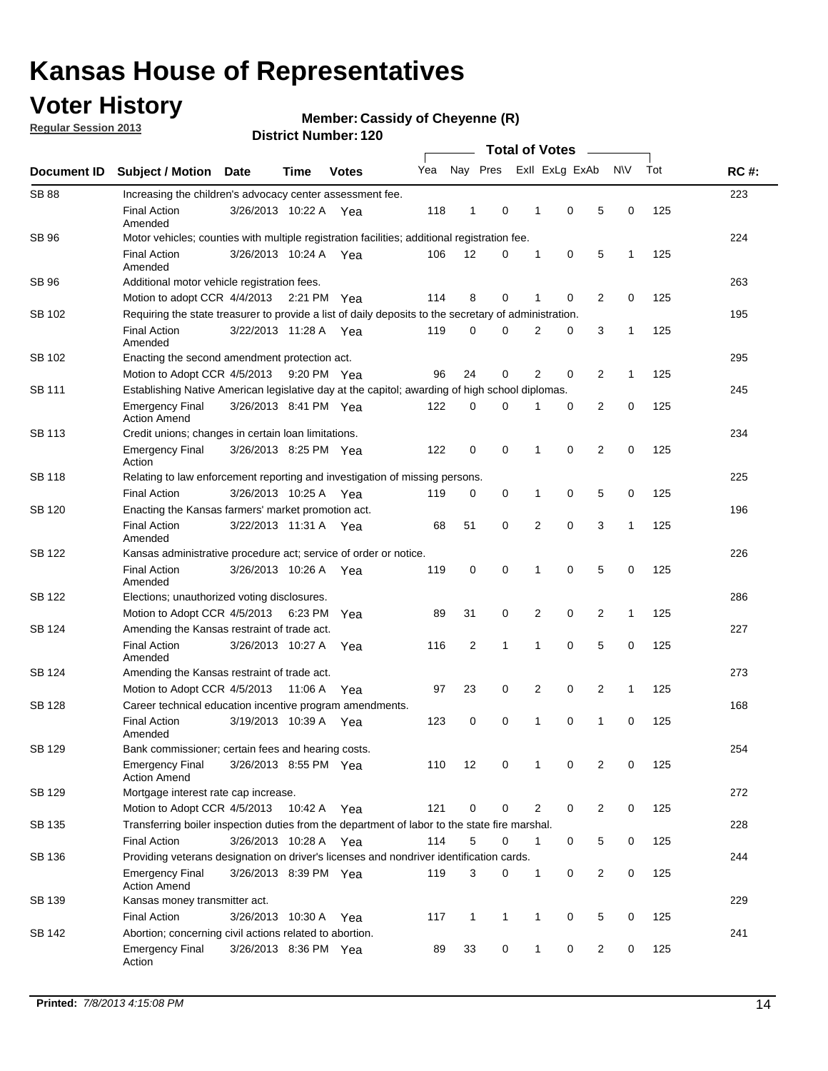### **Voter History**

**Regular Session 2013**

#### **Member: Cassidy of Cheyenne (R)**

|               |                                                                                                       |                                                            |         |              |     |                |              | <b>Total of Votes</b> |                |                |              |     |             |
|---------------|-------------------------------------------------------------------------------------------------------|------------------------------------------------------------|---------|--------------|-----|----------------|--------------|-----------------------|----------------|----------------|--------------|-----|-------------|
| Document ID   | <b>Subject / Motion Date</b>                                                                          |                                                            | Time    | <b>Votes</b> | Yea | Nay Pres       |              |                       | Exll ExLg ExAb |                | N\V          | Tot | <b>RC#:</b> |
| <b>SB 88</b>  | Increasing the children's advocacy center assessment fee.                                             |                                                            |         |              |     |                |              |                       |                |                |              |     | 223         |
|               | <b>Final Action</b><br>Amended                                                                        | 3/26/2013 10:22 A                                          |         | Yea          | 118 | 1              | 0            | 1                     | 0              | 5              | 0            | 125 |             |
| SB 96         | Motor vehicles; counties with multiple registration facilities; additional registration fee.          |                                                            |         |              |     |                |              |                       |                |                |              | 224 |             |
|               | <b>Final Action</b><br>Amended                                                                        | 3/26/2013 10:24 A Yea                                      |         |              | 106 | 12             | 0            | 1                     | 0              | 5              | 1            | 125 |             |
| SB 96         | Additional motor vehicle registration fees.                                                           |                                                            |         |              |     |                |              |                       |                |                |              |     | 263         |
|               | Motion to adopt CCR 4/4/2013 2:21 PM Yea                                                              |                                                            |         |              | 114 | 8              | 0            | 1                     | $\mathbf 0$    | 2              | 0            | 125 |             |
| SB 102        | Requiring the state treasurer to provide a list of daily deposits to the secretary of administration. |                                                            |         |              |     |                |              |                       |                |                |              |     | 195         |
|               | <b>Final Action</b><br>Amended                                                                        | 3/22/2013 11:28 A Yea                                      |         |              | 119 | 0              | $\Omega$     | $\overline{2}$        | 0              | 3              | 1            | 125 |             |
| SB 102        | Enacting the second amendment protection act.                                                         |                                                            |         |              |     |                |              |                       |                |                |              |     | 295         |
|               | Motion to Adopt CCR 4/5/2013                                                                          |                                                            |         | 9:20 PM Yea  | 96  | 24             | 0            | $\overline{2}$        | 0              | 2              | 1            | 125 |             |
| SB 111        | Establishing Native American legislative day at the capitol; awarding of high school diplomas.        |                                                            |         |              |     |                |              |                       |                |                |              |     | 245         |
|               | <b>Emergency Final</b><br><b>Action Amend</b>                                                         | 3/26/2013 8:41 PM Yea                                      |         |              | 122 | 0              | $\Omega$     |                       | 0              | 2              | 0            | 125 |             |
| SB 113        |                                                                                                       | 234<br>Credit unions; changes in certain loan limitations. |         |              |     |                |              |                       |                |                |              |     |             |
|               | Emergency Final<br>Action                                                                             | 3/26/2013 8:25 PM Yea                                      |         |              | 122 | $\mathbf 0$    | 0            | 1                     | $\mathbf 0$    | $\overline{2}$ | 0            | 125 |             |
| <b>SB 118</b> | Relating to law enforcement reporting and investigation of missing persons.                           |                                                            |         |              |     |                |              |                       |                |                |              |     | 225         |
|               | <b>Final Action</b>                                                                                   | 3/26/2013 10:25 A Yea                                      |         |              | 119 | 0              | 0            | 1                     | 0              | 5              | 0            | 125 |             |
| SB 120        | Enacting the Kansas farmers' market promotion act.                                                    |                                                            |         |              |     |                |              |                       |                |                |              |     | 196         |
|               | <b>Final Action</b><br>Amended                                                                        | 3/22/2013 11:31 A Yea                                      |         |              | 68  | 51             | 0            | $\overline{2}$        | $\mathbf 0$    | 3              | 1            | 125 |             |
| <b>SB 122</b> | Kansas administrative procedure act; service of order or notice.                                      |                                                            |         |              |     |                |              |                       |                |                |              |     | 226         |
|               | <b>Final Action</b><br>Amended                                                                        | 3/26/2013 10:26 A                                          |         | Yea          | 119 | 0              | 0            | 1                     | $\mathbf 0$    | 5              | 0            | 125 |             |
| SB 122        | Elections; unauthorized voting disclosures.                                                           |                                                            |         |              |     |                |              |                       |                |                |              | 286 |             |
|               | 2<br>0<br>2<br>Motion to Adopt CCR 4/5/2013 6:23 PM<br>89<br>31<br>0<br>$\mathbf{1}$<br>125<br>Yea    |                                                            |         |              |     |                |              |                       |                |                |              |     |             |
| SB 124        | Amending the Kansas restraint of trade act.                                                           |                                                            |         |              |     |                |              |                       |                |                |              |     | 227         |
|               | <b>Final Action</b><br>Amended                                                                        | 3/26/2013 10:27 A                                          |         | Yea          | 116 | $\overline{2}$ | $\mathbf{1}$ | 1                     | $\mathbf 0$    | 5              | 0            | 125 |             |
| SB 124        | Amending the Kansas restraint of trade act.                                                           |                                                            |         |              |     |                |              |                       |                |                |              |     | 273         |
|               | Motion to Adopt CCR 4/5/2013                                                                          |                                                            | 11:06 A | Yea          | 97  | 23             | 0            | $\overline{2}$        | 0              | $\overline{2}$ | $\mathbf{1}$ | 125 |             |
| <b>SB 128</b> | Career technical education incentive program amendments.                                              |                                                            |         |              |     |                |              |                       |                |                |              |     | 168         |
|               | <b>Final Action</b><br>Amended                                                                        | 3/19/2013 10:39 A                                          |         | Yea          | 123 | 0              | 0            | 1                     | 0              | $\mathbf{1}$   | 0            | 125 |             |
| SB 129        | Bank commissioner: certain fees and hearing costs.                                                    |                                                            |         |              |     |                |              |                       |                |                |              |     | 254         |
|               | Emergency Final<br><b>Action Amend</b>                                                                | 3/26/2013 8:55 PM Yea                                      |         |              | 110 | 12             | 0            | 1                     | 0              | 2              | 0            | 125 |             |
| <b>SB 129</b> | Mortgage interest rate cap increase.                                                                  |                                                            |         |              |     |                |              |                       |                |                |              |     | 272         |
|               | Motion to Adopt CCR 4/5/2013                                                                          |                                                            | 10:42 A | Yea          | 121 | 0              | 0            | 2                     | 0              | $\overline{2}$ | 0            | 125 |             |
| SB 135        | Transferring boiler inspection duties from the department of labor to the state fire marshal.         |                                                            |         |              |     |                |              |                       |                |                |              |     | 228         |
|               | <b>Final Action</b>                                                                                   | 3/26/2013 10:28 A Yea                                      |         |              | 114 | 5              | 0            | 1                     | 0              | 5              | 0            | 125 |             |
| SB 136        | Providing veterans designation on driver's licenses and nondriver identification cards.               |                                                            |         |              |     |                |              |                       |                |                |              |     | 244         |
|               | Emergency Final<br><b>Action Amend</b>                                                                | 3/26/2013 8:39 PM Yea                                      |         |              | 119 | 3              | 0            | 1                     | 0              | $\overline{2}$ | 0            | 125 |             |
| SB 139        | Kansas money transmitter act.                                                                         |                                                            |         |              |     |                |              |                       |                |                |              |     | 229         |
|               | <b>Final Action</b>                                                                                   | 3/26/2013 10:30 A                                          |         | Yea          | 117 | 1              | 1            | 1                     | 0              | 5              | 0            | 125 |             |
| SB 142        | Abortion; concerning civil actions related to abortion.                                               |                                                            |         |              |     |                |              |                       |                |                |              |     | 241         |
|               | <b>Emergency Final</b><br>Action                                                                      | 3/26/2013 8:36 PM Yea                                      |         |              | 89  | 33             | 0            | 1                     | 0              | $\overline{2}$ | 0            | 125 |             |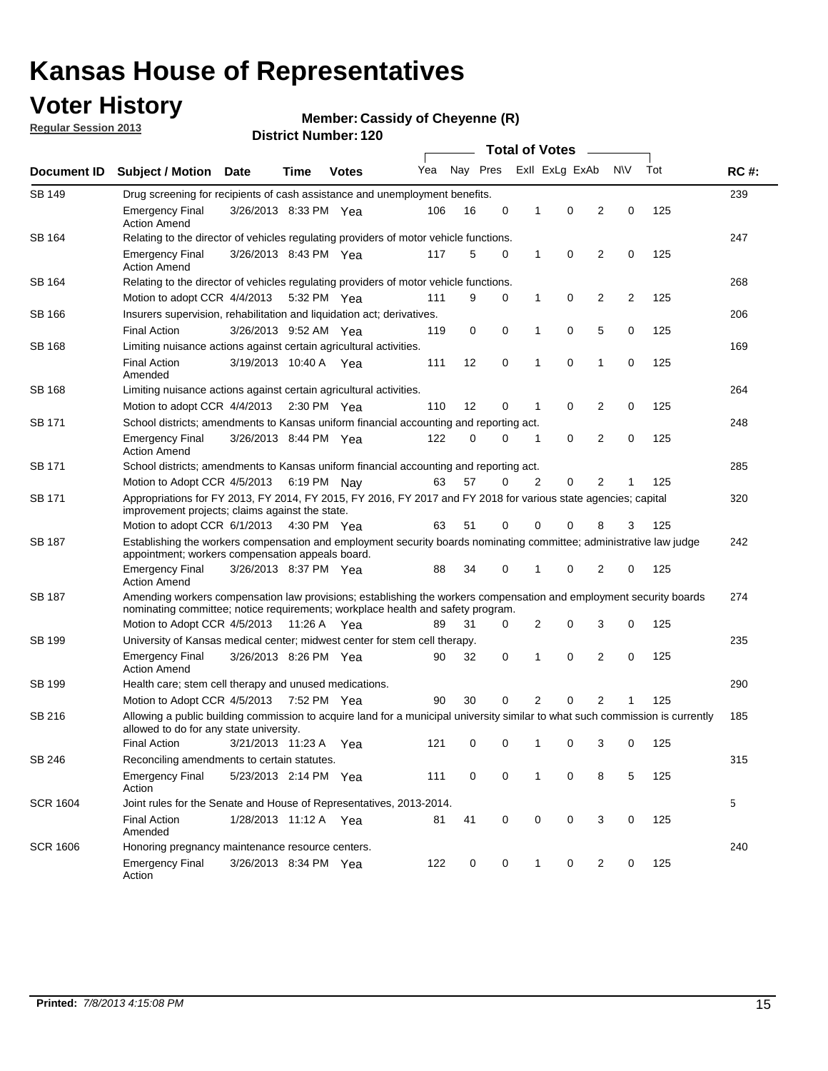### **Voter History**

**Regular Session 2013**

#### **Member: Cassidy of Cheyenne (R)**

|                 |                                                                                                                                                                                                       |                       |             |              |     |          |             | <b>Total of Votes</b><br>$\sim$ |                |                |                |     |             |
|-----------------|-------------------------------------------------------------------------------------------------------------------------------------------------------------------------------------------------------|-----------------------|-------------|--------------|-----|----------|-------------|---------------------------------|----------------|----------------|----------------|-----|-------------|
| Document ID     | Subject / Motion Date                                                                                                                                                                                 |                       | Time        | <b>Votes</b> | Yea | Nay Pres |             |                                 | Exll ExLg ExAb |                | N\V            | Tot | <b>RC#:</b> |
| SB 149          | Drug screening for recipients of cash assistance and unemployment benefits.                                                                                                                           |                       |             |              |     |          |             |                                 |                |                |                |     |             |
|                 | <b>Emergency Final</b><br><b>Action Amend</b>                                                                                                                                                         | 3/26/2013 8:33 PM Yea |             |              | 106 | 16       | 0           | $\mathbf 1$                     | 0              | 2              | 0              | 125 |             |
| SB 164          | Relating to the director of vehicles regulating providers of motor vehicle functions.                                                                                                                 |                       |             |              |     |          |             |                                 |                |                |                |     | 247         |
|                 | <b>Emergency Final</b><br><b>Action Amend</b>                                                                                                                                                         | 3/26/2013 8:43 PM Yea |             |              | 117 | 5        | 0           | $\mathbf{1}$                    | 0              | 2              | 0              | 125 |             |
| SB 164          | Relating to the director of vehicles regulating providers of motor vehicle functions.                                                                                                                 |                       |             |              |     |          |             |                                 |                |                |                |     | 268         |
|                 | Motion to adopt CCR 4/4/2013                                                                                                                                                                          |                       | 5:32 PM Yea |              | 111 | 9        | 0           | $\mathbf{1}$                    | 0              | 2              | $\overline{c}$ | 125 |             |
| SB 166          | Insurers supervision, rehabilitation and liquidation act; derivatives.                                                                                                                                |                       |             |              |     |          |             |                                 |                |                |                | 206 |             |
|                 | <b>Final Action</b>                                                                                                                                                                                   | 3/26/2013 9:52 AM Yea |             |              | 119 | 0        | $\mathbf 0$ | 1                               | 0              | 5              | 0              | 125 |             |
| <b>SB 168</b>   | Limiting nuisance actions against certain agricultural activities.                                                                                                                                    |                       |             |              |     |          |             |                                 |                |                |                |     | 169         |
|                 | <b>Final Action</b><br>Amended                                                                                                                                                                        | 3/19/2013 10:40 A Yea |             |              | 111 | 12       | $\mathbf 0$ | 1                               | 0              | 1              | 0              | 125 |             |
| <b>SB 168</b>   | Limiting nuisance actions against certain agricultural activities.                                                                                                                                    |                       |             |              |     |          |             |                                 |                |                |                |     | 264         |
|                 | Motion to adopt CCR 4/4/2013                                                                                                                                                                          |                       | 2:30 PM Yea |              | 110 | 12       | 0           | 1                               | 0              | 2              | 0              | 125 |             |
| SB 171          | School districts; amendments to Kansas uniform financial accounting and reporting act.                                                                                                                |                       |             |              |     |          |             |                                 |                |                |                |     | 248         |
|                 | <b>Emergency Final</b><br><b>Action Amend</b>                                                                                                                                                         | 3/26/2013 8:44 PM Yea |             |              | 122 | 0        | 0           | $\mathbf 1$                     | 0              | 2              | 0              | 125 |             |
| SB 171          | School districts; amendments to Kansas uniform financial accounting and reporting act.                                                                                                                |                       |             |              |     |          |             |                                 |                |                |                | 285 |             |
|                 | 57<br>2<br>0<br>2<br>125<br>Motion to Adopt CCR 4/5/2013 6:19 PM Nav<br>63<br>0<br>1                                                                                                                  |                       |             |              |     |          |             |                                 |                |                |                |     |             |
| SB 171          | Appropriations for FY 2013, FY 2014, FY 2015, FY 2016, FY 2017 and FY 2018 for various state agencies; capital<br>improvement projects; claims against the state.                                     |                       |             |              |     |          |             |                                 |                |                |                |     | 320         |
|                 | Motion to adopt CCR 6/1/2013 4:30 PM Yea                                                                                                                                                              |                       |             |              | 63  | 51       | 0           | 0                               | 0              | 8              | 3              | 125 |             |
| <b>SB 187</b>   | Establishing the workers compensation and employment security boards nominating committee; administrative law judge<br>appointment; workers compensation appeals board.                               |                       |             |              |     |          |             |                                 |                |                |                | 242 |             |
|                 | <b>Emergency Final</b><br><b>Action Amend</b>                                                                                                                                                         | 3/26/2013 8:37 PM Yea |             |              | 88  | 34       | 0           |                                 | 0              | 2              | 0              | 125 |             |
| <b>SB 187</b>   | Amending workers compensation law provisions; establishing the workers compensation and employment security boards<br>nominating committee; notice requirements; workplace health and safety program. |                       |             |              |     |          |             |                                 |                |                |                |     | 274         |
|                 | Motion to Adopt CCR 4/5/2013 11:26 A Yea                                                                                                                                                              |                       |             |              | 89  | 31       | 0           | 2                               | 0              | 3              | 0              | 125 |             |
| SB 199          | University of Kansas medical center; midwest center for stem cell therapy.                                                                                                                            |                       |             |              |     |          |             |                                 |                |                |                |     | 235         |
|                 | <b>Emergency Final</b><br><b>Action Amend</b>                                                                                                                                                         | 3/26/2013 8:26 PM Yea |             |              | 90  | 32       | 0           | 1                               | 0              | 2              | 0              | 125 |             |
| SB 199          | Health care; stem cell therapy and unused medications.                                                                                                                                                |                       |             |              |     |          |             |                                 |                |                |                |     | 290         |
|                 | Motion to Adopt CCR 4/5/2013 7:52 PM Yea                                                                                                                                                              |                       |             |              | 90  | 30       | 0           | 2                               | 0              | $\overline{2}$ | 1              | 125 |             |
| SB 216          | Allowing a public building commission to acquire land for a municipal university similar to what such commission is currently<br>allowed to do for any state university.                              |                       |             |              |     |          |             |                                 |                |                |                |     | 185         |
|                 | <b>Final Action</b>                                                                                                                                                                                   | 3/21/2013 11:23 A Yea |             |              | 121 | 0        | 0           | 1                               | 0              | 3              | 0              | 125 |             |
| SB 246          | Reconciling amendments to certain statutes.                                                                                                                                                           |                       |             |              |     |          |             |                                 |                |                |                |     | 315         |
|                 | <b>Emergency Final</b><br>Action                                                                                                                                                                      | 5/23/2013 2:14 PM Yea |             |              | 111 | 0        | 0           | 1                               | 0              | 8              | 5              | 125 |             |
| <b>SCR 1604</b> | Joint rules for the Senate and House of Representatives, 2013-2014.                                                                                                                                   |                       |             |              |     |          |             |                                 |                |                |                |     | 5           |
|                 | <b>Final Action</b><br>Amended                                                                                                                                                                        | 1/28/2013 11:12 A Yea |             |              | 81  | 41       | 0           | 0                               | 0              | 3              | 0              | 125 |             |
| <b>SCR 1606</b> | Honoring pregnancy maintenance resource centers.                                                                                                                                                      |                       |             |              |     |          |             |                                 |                |                |                |     | 240         |
|                 | <b>Emergency Final</b><br>Action                                                                                                                                                                      | 3/26/2013 8:34 PM Yea |             |              | 122 | 0        | 0           | 1                               | 0              | 2              | 0              | 125 |             |